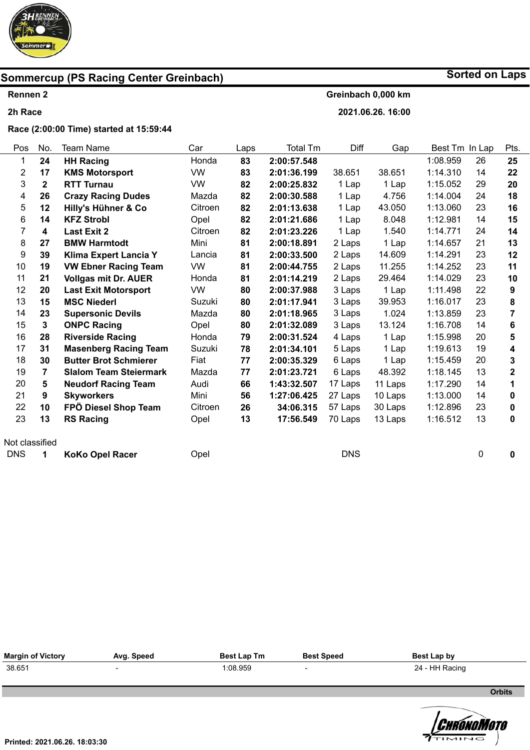

**Sorted on Laps**

#### **Rennen 2 2h Race Greinbach 0,000 km 2021.06.26. 16:00**

Pos 1 2 3 4 5 6 7 8 9 10 11 12 13 14 15 16 17 18 19 20 21 22 23 Not classified No. **24 17 2 26 12 14 4 27 39 19 21 20 15 23 3 28 31 30 7 5 9 10 13**  Team Name **HH Racing KMS Motorsport RTT Turnau Crazy Racing Dudes Hilly's Hühner & Co KFZ Strobl Last Exit 2 BMW Harmtodt Klima Expert Lancia Y VW Ebner Racing Team Vollgas mit Dr. AUER Last Exit Motorsport MSC Niederl Supersonic Devils ONPC Racing Riverside Racing Masenberg Racing Team Butter Brot Schmierer Slalom Team Steiermark Neudorf Racing Team Skyworkers FPÖ Diesel Shop Team RS Racing**  Car Honda VW VW Mazda Citroen Opel **Citroen** Mini Lancia VW Honda VW Suzuki Mazda Opel Honda Suzuki Fiat Mazda Audi Mini **Citroen** Opel Laps **83 83 82 82 82 82 82 81 81 81 81 80 80 80 80 79 78 77 77 66 56 26 13**  Total Tm **2:00:57.548 2:01:36.199 2:00:25.832 2:00:30.588 2:01:13.638 2:01:21.686 2:01:23.226 2:00:18.891 2:00:33.500 2:00:44.755 2:01:14.219 2:00:37.988 2:01:17.941 2:01:18.965 2:01:32.089 2:00:31.524 2:01:34.101 2:00:35.329 2:01:23.721 1:43:32.507 1:27:06.425 34:06.315 17:56.549**  Diff 38.651 1 Lap 1 Lap 1 Lap 1 Lap 1 Lap 2 Laps 2 Laps 2 Laps 2 Laps 3 Laps 3 Laps 3 Laps 3 Laps 4 Laps 5 Laps 6 Laps 6 Laps 17 Laps 27 Laps 57 Laps 70 Laps Gap 38.651 1 Lap 4.756 43.050 8.048 1.540 1 Lap 14.609 11.255 29.464 1 Lap 39.953 1.024 13.124 1 Lap 1 Lap 1 Lap 48.392 11 Laps 10 Laps 30 Laps 13 Laps Best Tm In Lap 1:08.959 1:14.310 1:15.052 1:14.004 1:13.060 1:12.981 1:14.771 1:14.657 1:14.291 1:14.252 1:14.029 1:11.498 1:16.017 1:13.859 1:16.708 1:15.998 1:19.613 1:15.459 1:18.145 1:17.290 1:13.000 1:12.896 1:16.512 **Race (2:00:00 Time) started at 15:59:44** 

DNS **1 KoKo Opel Racer**  Opel DNS 0 **0** 

| <b>Margin of Victory</b> | Avg. Speed | <b>Best Lap Tm</b> | <b>Best Speed</b> | Best Lap by    |
|--------------------------|------------|--------------------|-------------------|----------------|
| 38.651                   |            | 1:08.959           |                   | 24 - HH Racing |

**Orbits** 

 $\mathbb{Z}$  is a set of  $\mathbb{Z}$ **Licensed to: Hungary**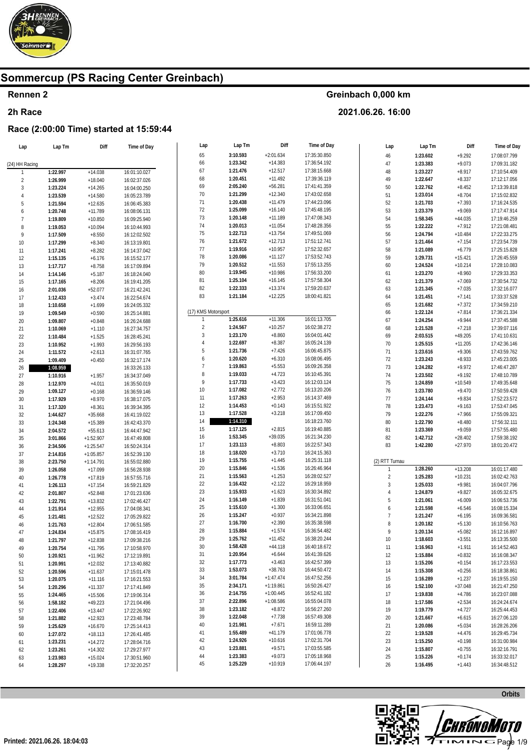

#### Rennen 2

#### 2h Race

### Race (2:00:00 Time) started at 15:59:44

| Lap            | Lap Tm   | Diff        | Time of Day  | Lap                 | Lap Tm   | Diff        | Time of Day  | Lap                          | Lap Tm   | Diff      | Time of Day  |
|----------------|----------|-------------|--------------|---------------------|----------|-------------|--------------|------------------------------|----------|-----------|--------------|
|                |          |             |              | 65                  | 3:10.593 | $+2:01.634$ | 17:35:30.850 | $46\,$                       | 1:23.602 | $+9.292$  | 17:08:07.799 |
| (24) HH Racing |          |             |              | 66                  | 1:23.342 | $+14.383$   | 17:36:54.192 | 47                           | 1:23.383 | $+9.073$  | 17:09:31.182 |
|                | 1:22.997 | $+14.038$   | 16:01:10.027 | 67                  | 1:21.476 | $+12.517$   | 17:38:15.668 | 48                           | 1:23.227 | $+8.917$  | 17:10:54.409 |
| $\sqrt{2}$     | 1:26.999 | $+18.040$   | 16:02:37.026 | 68                  | 1:20.451 | $+11.492$   | 17:39:36.119 | 49                           | 1:22.647 | $+8.337$  | 17:12:17.056 |
| $\overline{3}$ | 1:23.224 | $+14.265$   | 16:04:00.250 | 69                  | 2:05.240 | $+56.281$   | 17:41:41.359 | 50                           | 1:22.762 | $+8.452$  | 17:13:39.818 |
| $\overline{4}$ | 1:23.539 | $+14.580$   | 16:05:23.789 | 70                  | 1:21.299 | $+12.340$   | 17:43:02.658 | 51                           | 1:23.014 | $+8.704$  | 17:15:02.832 |
| 5              | 1:21.594 | $+12.635$   |              | 71                  | 1:20.438 | $+11.479$   | 17:44:23.096 | 52                           | 1:21.703 | $+7.393$  | 17:16:24.535 |
| 6              | 1:20.748 | $+11.789$   | 16:06:45.383 | 72                  | 1:25.099 | $+16.140$   | 17:45:48.195 | 53                           | 1:23.379 | $+9.069$  | 17:17:47.914 |
|                |          |             | 16:08:06.131 | 73                  | 1:20.148 | $+11.189$   | 17:47:08.343 | 54                           | 1:58.345 | $+44.035$ | 17:19:46.259 |
| $\overline{7}$ | 1:19.809 | $+10.850$   | 16:09:25.940 | 74                  | 1:20.013 | $+11.054$   | 17:48:28.356 | 55                           |          |           |              |
| 8              | 1:19.053 | $+10.094$   | 16:10:44.993 | 75                  | 1:22.713 | $+13.754$   | 17:49:51.069 | 56                           | 1:22.222 | $+7.912$  | 17:21:08.481 |
| 9              | 1:17.509 | $+8.550$    | 16:12:02.502 | 76                  | 1:21.672 | $+12.713$   | 17:51:12.741 |                              | 1:24.794 | $+10.484$ | 17:22:33.275 |
| 10             | 1:17.299 | $+8.340$    | 16:13:19.801 |                     | 1:19.916 | $+10.957$   |              | 57                           | 1:21.464 | $+7.154$  | 17:23:54.739 |
| 11             | 1:17.241 | $+8.282$    | 16:14:37.042 | 77                  | 1:20.086 | $+11.127$   | 17:52:32.657 | 58                           | 1:21.089 | $+6.779$  | 17:25:15.828 |
| 12             | 1:15.135 | $+6.176$    | 16:15:52.177 | 78                  |          |             | 17:53:52.743 | 59                           | 1:29.731 | $+15.421$ | 17:26:45.559 |
| 13             | 1:17.717 | $+8.758$    | 16:17:09.894 | 79                  | 1:20.512 | $+11.553$   | 17:55:13.255 | 60                           | 1:24.524 | $+10.214$ | 17:28:10.083 |
| 14             | 1:14.146 | $+5.187$    | 16:18:24.040 | 80                  | 1:19.945 | $+10.986$   | 17:56:33.200 | 61                           | 1:23.270 | $+8.960$  | 17:29:33.353 |
| 15             | 1:17.165 | $+8.206$    | 16:19:41.205 | 81                  | 1:25.104 | $+16.145$   | 17:57:58.304 | 62                           | 1:21.379 | $+7.069$  | 17:30:54.732 |
| 16             | 2:01.036 | $+52.077$   | 16:21:42.241 | 82                  | 1:22.333 | $+13.374$   | 17:59:20.637 | 63                           | 1:21.345 | $+7.035$  | 17:32:16.077 |
| 17             | 1:12.433 | $+3.474$    | 16:22:54.674 | 83                  | 1:21.184 | $+12.225$   | 18:00:41.821 | 64                           | 1:21.451 | $+7.141$  | 17:33:37.528 |
| 18             | 1:10.658 | $+1.699$    | 16:24:05.332 |                     |          |             |              | 65                           | 1:21.682 | $+7.372$  | 17:34:59.210 |
| 19             | 1:09.549 | $+0.590$    | 16:25:14.881 | (17) KMS Motorsport |          |             |              | 66                           | 1:22.124 | $+7.814$  | 17:36:21.334 |
| 20             | 1:09.807 | $+0.848$    | 16:26:24.688 | $\mathbf{1}$        | 1:25.616 | $+11.306$   | 16:01:13.705 | 67                           | 1:24.254 | $+9.944$  | 17:37:45.588 |
| 21             | 1:10.069 | $+1.110$    | 16:27:34.757 | $\overline{2}$      | 1:24.567 | $+10.257$   | 16:02:38.272 | 68                           | 1:21.528 | $+7.218$  | 17:39:07.116 |
| 22             | 1:10.484 | $+1.525$    | 16:28:45.241 | $\sqrt{3}$          | 1:23.170 | $+8.860$    | 16:04:01.442 | 69                           | 2:03.515 | $+49.205$ | 17:41:10.631 |
| 23             | 1:10.952 | $+1.993$    | 16:29:56.193 | $\overline{4}$      | 1:22.697 | $+8.387$    | 16:05:24.139 | $70\,$                       | 1:25.515 | $+11.205$ | 17:42:36.146 |
| 24             | 1:11.572 | $+2.613$    | 16:31:07.765 | $\sqrt{5}$          | 1:21.736 | $+7.426$    | 16:06:45.875 | 71                           | 1:23.616 | $+9.306$  | 17:43:59.762 |
| 25             | 1:09.409 | $+0.450$    | 16:32:17.174 | $\boldsymbol{6}$    | 1:20.620 | $+6.310$    | 16:08:06.495 | $72\,$                       | 1:23.243 | $+8.933$  | 17:45:23.005 |
| 26             | 1:08.959 |             | 16:33:26.133 | $\overline{7}$      | 1:19.863 | $+5.553$    | 16:09:26.358 | 73                           | 1:24.282 | $+9.972$  | 17:46:47.287 |
| 27             | 1:10.916 | $+1.957$    | 16:34:37.049 | $\, 8$              | 1:19.033 | $+4.723$    | 16:10:45.391 | 74                           | 1:23.502 | $+9.192$  | 17:48:10.789 |
| 28             | 1:12.970 | $+4.011$    | 16:35:50.019 | 9                   | 1:17.733 | $+3.423$    | 16:12:03.124 | 75                           | 1:24.859 | $+10.549$ | 17:49:35.648 |
| 29             | 1:09.127 | $+0.168$    | 16:36:59.146 | 10                  | 1:17.082 | $+2.772$    | 16:13:20.206 | 76                           | 1:23.780 | $+9.470$  | 17:50:59.428 |
| 30             | 1:17.929 | $+8.970$    | 16:38:17.075 | 11                  | 1:17.263 | $+2.953$    | 16:14:37.469 | 77                           | 1:24.144 | $+9.834$  | 17:52:23.572 |
| 31             | 1:17.320 | $+8.361$    | 16:39:34.395 | 12                  | 1:14.453 | $+0.143$    | 16:15:51.922 | 78                           | 1:23.473 | $+9.163$  | 17:53:47.045 |
| 32             | 1:44.627 | $+35.668$   | 16:41:19.022 | 13                  | 1:17.528 | $+3.218$    | 16:17:09.450 | 79                           | 1:22.276 | $+7.966$  | 17:55:09.321 |
| 33             | 1:24.348 | $+15.389$   | 16:42:43.370 | 14                  | 1:14.310 |             | 16:18:23.760 | 80                           | 1:22.790 | $+8.480$  | 17:56:32.111 |
|                | 2:04.572 | $+55.613$   |              | 15                  | 1:17.125 | $+2.815$    | 16:19:40.885 | 81                           | 1:23.369 | $+9.059$  | 17:57:55.480 |
| 34             |          |             | 16:44:47.942 | 16                  | 1:53.345 | $+39.035$   | 16:21:34.230 | 82                           | 1:42.712 | $+28.402$ | 17:59:38.192 |
| 35             | 3:01.866 | $+1:52.907$ | 16:47:49.808 | 17                  | 1:23.113 | $+8.803$    | 16:22:57.343 | 83                           | 1:42.280 | $+27.970$ | 18:01:20.472 |
| 36             | 2:34.506 | $+1:25.547$ | 16:50:24.314 | 18                  | 1:18.020 | $+3.710$    | 16:24:15.363 |                              |          |           |              |
| 37             | 2:14.816 | $+1:05.857$ | 16:52:39.130 | 19                  | 1:15.755 | $+1.445$    | 16:25:31.118 |                              |          |           |              |
| 38             | 2:23.750 | $+1:14.791$ | 16:55:02.880 | 20                  | 1:15.846 | $+1.536$    | 16:26:46.964 | (2) RTT Turnau               | 1:28.260 |           | 16:01:17.480 |
| 39             | 1:26.058 | $+17.099$   | 16:56:28.938 | 21                  | 1:15.563 | $+1.253$    | 16:28:02.527 |                              |          | $+13.208$ |              |
| 40             | 1:26.778 | $+17.819$   | 16:57:55.716 | 22                  | 1:16.432 | $+2.122$    | 16:29:18.959 | $\overline{c}$<br>$\sqrt{3}$ | 1:25.283 | $+10.231$ | 16:02:42.763 |
| 41             | 1:26.113 | $+17.154$   | 16:59:21.829 | 23                  | 1:15.933 | $+1.623$    | 16:30:34.892 |                              | 1:25.033 | $+9.981$  | 16:04:07.796 |
| 42             | 2:01.807 | $+52.848$   | 17:01:23.636 |                     | 1:16.149 | $+1.839$    | 16:31:51.041 | $\overline{4}$               | 1:24.879 | $+9.827$  | 16:05:32.675 |
| 43             | 1:22.791 | $+13.832$   | 17:02:46.427 | 24<br>25            | 1:15.610 | $+1.300$    | 16:33:06.651 | 5                            | 1:21.061 | $+6.009$  | 16:06:53.736 |
| 44             | 1:21.914 | $+12.955$   | 17:04:08.341 |                     |          |             |              | 6                            | 1:21.598 | $+6.546$  | 16:08:15.334 |
| 45             | 1:21.481 | $+12.522$   | 17:05:29.822 | 26                  | 1:15.247 | $+0.937$    | 16:34:21.898 | $\overline{7}$               | 1:21.247 | $+6.195$  | 16:09:36.581 |
| 46             | 1:21.763 | $+12.804$   | 17:06:51.585 | 27                  | 1:16.700 | $+2.390$    | 16:35:38.598 | 8                            | 1:20.182 | $+5.130$  | 16:10:56.763 |
| 47             | 1:24.834 | $+15.875$   | 17:08:16.419 | 28                  | 1:15.884 | $+1.574$    | 16:36:54.482 | 9                            | 1:20.134 | $+5.082$  | 16:12:16.897 |
| 48             | 1:21.797 | $+12.838$   | 17:09:38.216 | 29                  | 1:25.762 | $+11.452$   | 16:38:20.244 | 10                           | 1:18.603 | $+3.551$  | 16:13:35.500 |
| 49             | 1:20.754 | $+11.795$   | 17:10:58.970 | $30\,$              | 1:58.428 | $+44.118$   | 16:40:18.672 | 11                           | 1:16.963 | $+1.911$  | 16:14:52.463 |
| 50             | 1:20.921 | $+11.962$   | 17:12:19.891 | 31                  | 1:20.954 | $+6.644$    | 16:41:39.626 | 12                           | 1:15.884 | $+0.832$  | 16:16:08.347 |
| 51             | 1:20.991 | $+12.032$   | 17:13:40.882 | 32                  | 1:17.773 | $+3.463$    | 16:42:57.399 | 13                           | 1:15.206 | $+0.154$  | 16:17:23.553 |
| 52             | 1:20.596 | $+11.637$   | 17:15:01.478 | 33                  | 1:53.073 | $+38.763$   | 16:44:50.472 | 14                           | 1:15.308 | $+0.256$  | 16:18:38.861 |
| 53             | 1:20.075 | $+11.116$   | 17:16:21.553 | 34                  | 3:01.784 | $+1:47.474$ | 16:47:52.256 | 15                           | 1:16.289 | $+1.237$  | 16:19:55.150 |
| 54             | 1:20.296 | $+11.337$   | 17:17:41.849 | 35                  | 2:34.171 | $+1:19.861$ | 16:50:26.427 | 16                           | 1:52.100 | $+37.048$ | 16:21:47.250 |
| 55             | 1:24.465 | $+15.506$   | 17:19:06.314 | 36                  | 2:14.755 | $+1:00.445$ | 16:52:41.182 | 17                           | 1:19.838 | $+4.786$  | 16:23:07.088 |
| 56             | 1:58.182 | $+49.223$   | 17:21:04.496 | 37                  | 2:22.896 | $+1:08.586$ | 16:55:04.078 | 18                           | 1:17.586 | $+2.534$  | 16:24:24.674 |
| 57             | 1:22.406 | $+13.447$   | 17:22:26.902 | 38                  | 1:23.182 | $+8.872$    | 16:56:27.260 | 19                           | 1:19.779 | $+4.727$  | 16:25:44.453 |
| 58             | 1:21.882 | $+12.923$   | 17:23:48.784 | 39                  | 1:22.048 | $+7.738$    | 16:57:49.308 | 20                           | 1:21.667 | $+6.615$  | 16:27:06.120 |
| 59             | 1:25.629 | $+16.670$   | 17:25:14.413 | 40                  | 1:21.981 | $+7.671$    | 16:59:11.289 | 21                           | 1:20.086 | $+5.034$  | 16:28:26.206 |
| 60             | 1:27.072 | $+18.113$   | 17:26:41.485 | 41                  | 1:55.489 | $+41.179$   | 17:01:06.778 | 22                           | 1:19.528 | $+4.476$  | 16:29:45.734 |
| 61             | 1:23.231 | $+14.272$   | 17:28:04.716 | 42                  | 1:24.926 | $+10.616$   | 17:02:31.704 | 23                           | 1:15.250 | $+0.198$  | 16:31:00.984 |
| 62             | 1:23.261 | $+14.302$   | 17:29:27.977 | 43                  | 1:23.881 | $+9.571$    | 17:03:55.585 | 24                           | 1:15.807 | $+0.755$  | 16:32:16.791 |
| 63             | 1:23.983 | $+15.024$   | 17:30:51.960 | 44                  | 1:23.383 | $+9.073$    | 17:05:18.968 | 25                           | 1:15.226 | $+0.174$  | 16:33:32.017 |
| 64             | 1:28.297 | $+19.338$   | 17:32:20.257 | 45                  | 1:25.229 | $+10.919$   | 17:06:44.197 | 26                           | 1:16.495 | $+1.443$  | 16:34:48.512 |
|                |          |             |              |                     |          |             |              |                              |          |           |              |

Greinbach 0,000 km

2021.06.26. 16:00



Orbits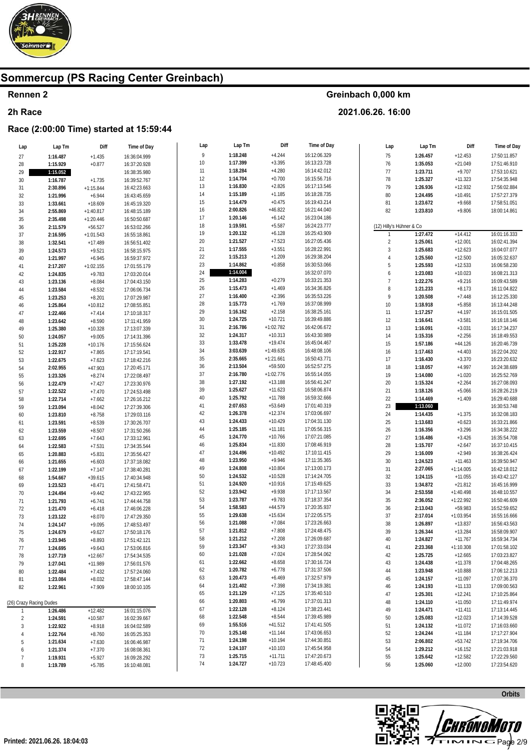

### Rennen 2

#### 2h Race

### Race (2:00:00 Time) started at 15:59:44

| Lap                     | Lap Tm   | Diff        | Time of Day  | Lap   | Lap Tm   | Diff        | Time of Day  | Lap                      | Lap Tm   | Diff                   | Time of Day  |
|-------------------------|----------|-------------|--------------|-------|----------|-------------|--------------|--------------------------|----------|------------------------|--------------|
| 27                      | 1:16.487 | $+1.435$    | 16:36:04.999 | $\,9$ | 1:18.248 | $+4.244$    | 16:12:06.329 | 75                       | 1:26.457 | $+12.453$              | 17:50:11.857 |
| 28                      | 1:15.929 | $+0.877$    | 16:37:20.928 | $10$  | 1:17.399 | $+3.395$    | 16:13:23.728 | 76                       | 1:35.053 | $+21.049$              | 17:51:46.910 |
| 29                      | 1:15.052 |             | 16:38:35.980 | 11    | 1:18.284 | $+4.280$    | 16:14:42.012 | $77$                     | 1:23.711 | $+9.707$               | 17:53:10.621 |
| 30                      | 1:16.787 | $+1.735$    | 16:39:52.767 | 12    | 1:14.704 | $+0.700$    | 16:15:56.716 | 78                       | 1:25.327 | $+11.323$              | 17:54:35.948 |
| $31\,$                  | 2:30.896 | $+1:15.844$ | 16:42:23.663 | 13    | 1:16.830 | $+2.826$    | 16:17:13.546 | 79                       | 1:26.936 | $+12.932$              | 17:56:02.884 |
| 32                      | 1:21.996 | $+6.944$    | 16:43:45.659 | 14    | 1:15.189 | $+1.185$    | 16:18:28.735 | $80\,$                   | 1:24.495 | $+10.491$              | 17:57:27.379 |
| 33                      | 1:33.661 | $+18.609$   | 16:45:19.320 | 15    | 1:14.479 | $+0.475$    | 16:19:43.214 | 81                       | 1:23.672 | $+9.668$               | 17:58:51.051 |
| 34                      | 2:55.869 | $+1:40.817$ | 16:48:15.189 | 16    | 2:00.826 | $+46.822$   | 16:21:44.040 | 82                       | 1:23.810 | $+9.806$               | 18:00:14.861 |
|                         |          |             |              | 17    | 1:20.146 | $+6.142$    | 16:23:04.186 |                          |          |                        |              |
| 35                      | 2:35.498 | $+1:20.446$ | 16:50:50.687 | 18    | 1:19.591 | $+5.587$    | 16:24:23.777 | (12) Hilly's Hühner & Co |          |                        |              |
| 36                      | 2:11.579 | $+56.527$   | 16:53:02.266 | 19    | 1:20.132 | $+6.128$    | 16:25:43.909 | 1                        | 1:27.472 | $+14.412$              | 16:01:16.333 |
| 37                      | 2:16.595 | $+1:01.543$ | 16:55:18.861 | 20    | 1:21.527 | $+7.523$    | 16:27:05.436 |                          | 1:25.061 |                        | 16:02:41.394 |
| 38                      | 1:32.541 | $+17.489$   | 16:56:51.402 | 21    | 1:17.555 | $+3.551$    | 16:28:22.991 | $\sqrt{2}$<br>$\sqrt{3}$ | 1:25.683 | $+12.001$<br>$+12.623$ | 16:04:07.077 |
| 39                      | 1:24.573 | $+9.521$    | 16:58:15.975 | 22    | 1:15.213 | $+1.209$    | 16:29:38.204 | $\overline{4}$           | 1:25.560 | $+12.500$              | 16:05:32.637 |
| 40                      | 1:21.997 | $+6.945$    | 16:59:37.972 | 23    | 1:14.862 | $+0.858$    | 16:30:53.066 | 5                        |          |                        | 16:06:58.230 |
| 41                      | 2:17.207 | $+1:02.155$ | 17:01:55.179 | 24    | 1:14.004 |             | 16:32:07.070 | 6                        | 1:25.593 | $+12.533$              | 16:08:21.313 |
| 42                      | 1:24.835 | $+9.783$    | 17:03:20.014 | 25    | 1:14.283 | $+0.279$    | 16:33:21.353 |                          | 1:23.083 | $+10.023$              |              |
| 43                      | 1:23.136 | $+8.084$    | 17:04:43.150 |       |          |             |              | $\overline{7}$           | 1:22.276 | $+9.216$               | 16:09:43.589 |
| 44                      | 1:23.584 | $+8.532$    | 17:06:06.734 | 26    | 1:15.473 | $+1.469$    | 16:34:36.826 | $\, 8$                   | 1:21.233 | $+8.173$               | 16:11:04.822 |
| 45                      | 1:23.253 | $+8.201$    | 17:07:29.987 | 27    | 1:16.400 | $+2.396$    | 16:35:53.226 | 9                        | 1:20.508 | $+7.448$               | 16:12:25.330 |
| 46                      | 1:25.864 | $+10.812$   | 17:08:55.851 | 28    | 1:15.773 | $+1.769$    | 16:37:08.999 | $10\,$                   | 1:18.918 | $+5.858$               | 16:13:44.248 |
| 47                      | 1:22.466 | $+7.414$    | 17:10:18.317 | 29    | 1:16.162 | $+2.158$    | 16:38:25.161 | 11                       | 1:17.257 | $+4.197$               | 16:15:01.505 |
| 48                      | 1:23.642 | $+8.590$    | 17:11:41.959 | 30    | 1:24.725 | $+10.721$   | 16:39:49.886 | 12                       | 1:16.641 | $+3.581$               | 16:16:18.146 |
| 49                      | 1:25.380 | $+10.328$   | 17:13:07.339 | 31    | 2:16.786 | $+1:02.782$ | 16:42:06.672 | $13\,$                   | 1:16.091 | $+3.031$               | 16:17:34.237 |
| 50                      | 1:24.057 | $+9.005$    | 17:14:31.396 | 32    | 1:24.317 | $+10.313$   | 16:43:30.989 | 14                       | 1:15.316 | $+2.256$               | 16:18:49.553 |
| 51                      | 1:25.228 | $+10.176$   | 17:15:56.624 | 33    | 1:33.478 | $+19.474$   | 16:45:04.467 | 15                       | 1:57.186 | $+44.126$              | 16:20:46.739 |
| 52                      | 1:22.917 | $+7.865$    | 17:17:19.541 | 34    | 3:03.639 | $+1:49.635$ | 16:48:08.106 | 16                       | 1:17.463 | $+4.403$               | 16:22:04.202 |
| 53                      | 1:22.675 | $+7.623$    | 17:18:42.216 | 35    | 2:35.665 | $+1:21.661$ | 16:50:43.771 | 17                       | 1:16.430 | $+3.370$               | 16:23:20.632 |
| 54                      | 2:02.955 | $+47.903$   | 17:20:45.171 | 36    | 2:13.504 | $+59.500$   | 16:52:57.275 | 18                       | 1:18.057 | $+4.997$               | 16:24:38.689 |
| 55                      | 1:23.326 | $+8.274$    | 17:22:08.497 | 37    | 2:16.780 | $+1:02.776$ | 16:55:14.055 | 19                       | 1:14.080 | $+1.020$               | 16:25:52.769 |
| 56                      | 1:22.479 | $+7.427$    | 17:23:30.976 | 38    | 1:27.192 | $+13.188$   | 16:56:41.247 | $20\,$                   | 1:15.324 | $+2.264$               | 16:27:08.093 |
| 57                      | 1:22.522 | $+7.470$    | 17:24:53.498 | 39    | 1:25.627 | $+11.623$   | 16:58:06.874 | 21                       | 1:18.126 | $+5.066$               | 16:28:26.219 |
| 58                      | 1:22.714 | $+7.662$    | 17:26:16.212 | 40    | 1:25.792 | $+11.788$   | 16:59:32.666 | $22\,$                   | 1:14.469 | $+1.409$               | 16:29:40.688 |
| 59                      | 1:23.094 | $+8.042$    | 17:27:39.306 | 41    | 2:07.653 | $+53.649$   | 17:01:40.319 | 23                       | 1:13.060 |                        | 16:30:53.748 |
| 60                      | 1:23.810 | $+8.758$    | 17:29:03.116 | 42    | 1:26.378 | $+12.374$   | 17:03:06.697 | 24                       | 1:14.435 | $+1.375$               | 16:32:08.183 |
| 61                      | 1:23.591 | $+8.539$    | 17:30:26.707 | 43    | 1:24.433 | $+10.429$   | 17:04:31.130 | 25                       | 1:13.683 | $+0.623$               | 16:33:21.866 |
| 62                      | 1:23.559 | $+8.507$    | 17:31:50.266 | 44    | 1:25.185 | $+11.181$   | 17:05:56.315 | $26\,$                   | 1:16.356 | $+3.296$               | 16:34:38.222 |
| 63                      | 1:22.695 | $+7.643$    | 17:33:12.961 | 45    | 1:24.770 | $+10.766$   | 17:07:21.085 | 27                       | 1:16.486 | $+3.426$               | 16:35:54.708 |
| 64                      | 1:22.583 | $+7.531$    | 17:34:35.544 | 46    | 1:25.834 | $+11.830$   | 17:08:46.919 | 28                       | 1:15.707 | $+2.647$               | 16:37:10.415 |
| 65                      | 1:20.883 | $+5.831$    | 17:35:56.427 | 47    | 1:24.496 | $+10.492$   | 17:10:11.415 | 29                       | 1:16.009 | $+2.949$               | 16:38:26.424 |
| 66                      | 1:21.655 | $+6.603$    | 17:37:18.082 | 48    | 1:23.950 | $+9.946$    | 17:11:35.365 | $30\,$                   | 1:24.523 | $+11.463$              | 16:39:50.947 |
| 67                      | 1:22.199 | $+7.147$    | 17:38:40.281 | 49    | 1:24.808 | $+10.804$   | 17:13:00.173 | 31                       | 2:27.065 | $+1:14.005$            | 16:42:18.012 |
| 68                      | 1:54.667 | $+39.615$   | 17:40:34.948 | 50    | 1:24.532 | $+10.528$   | 17:14:24.705 | $32\,$                   | 1:24.115 | $+11.055$              | 16:43:42.127 |
| 69                      | 1:23.523 | $+8.471$    | 17:41:58.471 | 51    | 1:24.920 | $+10.916$   | 17:15:49.625 | 33                       | 1:34.872 | $+21.812$              | 16:45:16.999 |
| $70$                    | 1:24.494 | $+9.442$    | 17:43:22.965 | 52    | 1:23.942 | $+9.938$    | 17:17:13.567 | 34                       | 2:53.558 | $+1:40.498$            | 16:48:10.557 |
| 71                      | 1:21.793 | $+6.741$    | 17:44:44.758 | 53    | 1:23.787 | $+9.783$    | 17:18:37.354 | $35\,$                   | 2:36.052 | $+1:22.992$            | 16:50:46.609 |
| $72\,$                  | 1:21.470 | $+6.418$    | 17:46:06.228 | 54    | 1:58.583 | $+44.579$   | 17:20:35.937 | $36\,$                   | 2:13.043 | $+59.983$              | 16:52:59.652 |
| 73                      | 1:23.122 | $+8.070$    | 17:47:29.350 | 55    | 1:29.638 | $+15.634$   | 17:22:05.575 | 37                       | 2:17.014 | $+1:03.954$            | 16:55:16.666 |
| 74                      | 1:24.147 | $+9.095$    | 17:48:53.497 | 56    | 1:21.088 | $+7.084$    | 17:23:26.663 | $38\,$                   | 1:26.897 | $+13.837$              | 16:56:43.563 |
| 75                      | 1:24.679 | $+9.627$    | 17:50:18.176 | 57    | 1:21.812 | $+7.808$    | 17:24:48.475 | 39                       | 1:26.344 | $+13.284$              | 16:58:09.907 |
| 76                      | 1:23.945 | $+8.893$    | 17:51:42.121 | 58    | 1:21.212 | $+7.208$    | 17:26:09.687 | 40                       | 1:24.827 | $+11.767$              | 16:59:34.734 |
| 77                      | 1:24.695 | $+9.643$    | 17:53:06.816 | 59    | 1:23.347 | $+9.343$    | 17:27:33.034 | 41                       | 2:23.368 | $+1:10.308$            | 17:01:58.102 |
| 78                      | 1:27.719 | $+12.667$   | 17:54:34.535 | 60    | 1:21.028 | $+7.024$    | 17:28:54.062 | 42                       | 1:25.725 | $+12.665$              | 17:03:23.827 |
| 79                      | 1:27.041 | $+11.989$   | 17:56:01.576 | 61    | 1:22.662 | $+8.658$    | 17:30:16.724 | 43                       | 1:24.438 | $+11.378$              | 17:04:48.265 |
| 80                      | 1:22.484 | $+7.432$    | 17:57:24.060 | 62    | 1:20.782 | $+6.778$    | 17:31:37.506 | 44                       | 1:23.948 | $+10.888$              | 17:06:12.213 |
| 81                      | 1:23.084 | $+8.032$    | 17:58:47.144 | 63    | 1:20.473 | $+6.469$    | 17:32:57.979 | 45                       | 1:24.157 | $+11.097$              | 17:07:36.370 |
| 82                      | 1:22.961 | $+7.909$    | 18:00:10.105 | 64    | 1:21.402 | $+7.398$    | 17:34:19.381 | 46                       | 1:24.193 | $+11.133$              | 17:09:00.563 |
|                         |          |             |              | 65    | 1:21.129 | $+7.125$    | 17:35:40.510 | 47                       | 1:25.301 | $+12.241$              | 17:10:25.864 |
| (26) Crazy Racing Dudes |          |             |              | 66    | 1:20.803 | $+6.799$    | 17:37:01.313 | 48                       | 1:24.110 | $+11.050$              | 17:11:49.974 |
| 1                       | 1:26.486 | $+12.482$   | 16:01:15.076 | 67    | 1:22.128 | $+8.124$    | 17:38:23.441 | 49                       | 1:24.471 | $+11.411$              | 17:13:14.445 |
| $\overline{2}$          | 1:24.591 | $+10.587$   | 16:02:39.667 | 68    | 1:22.548 | $+8.544$    | 17:39:45.989 | 50                       | 1:25.083 | $+12.023$              | 17:14:39.528 |
| 3                       | 1:22.922 | $+8.918$    | 16:04:02.589 | 69    | 1:55.516 | $+41.512$   | 17:41:41.505 | 51                       | 1:24.132 | $+11.072$              | 17:16:03.660 |
| 4                       | 1:22.764 | $+8.760$    | 16:05:25.353 | 70    | 1:25.148 | $+11.144$   | 17:43:06.653 | 52                       | 1:24.244 | $+11.184$              | 17:17:27.904 |
| 5                       | 1:21.634 | $+7.630$    | 16:06:46.987 | 71    | 1:24.198 | $+10.194$   | 17:44:30.851 | 53                       | 2:06.802 | $+53.742$              | 17:19:34.706 |
| 6                       | 1:21.374 | $+7.370$    | 16:08:08.361 | 72    | 1:24.107 | $+10.103$   | 17:45:54.958 | 54                       | 1:29.212 | $+16.152$              | 17:21:03.918 |
| $\overline{7}$          | 1:19.931 | $+5.927$    | 16:09:28.292 | 73    | 1:25.715 | $+11.711$   | 17:47:20.673 | 55                       | 1:25.642 | $+12.582$              | 17:22:29.560 |
| 8                       | 1:19.789 | $+5.785$    | 16:10:48.081 | 74    | 1:24.727 | $+10.723$   | 17:48:45.400 | 56                       | 1:25.060 | $+12.000$              | 17:23:54.620 |
|                         |          |             |              |       |          |             |              |                          |          |                        |              |

Greinbach 0,000 km 2021.06.26. 16:00

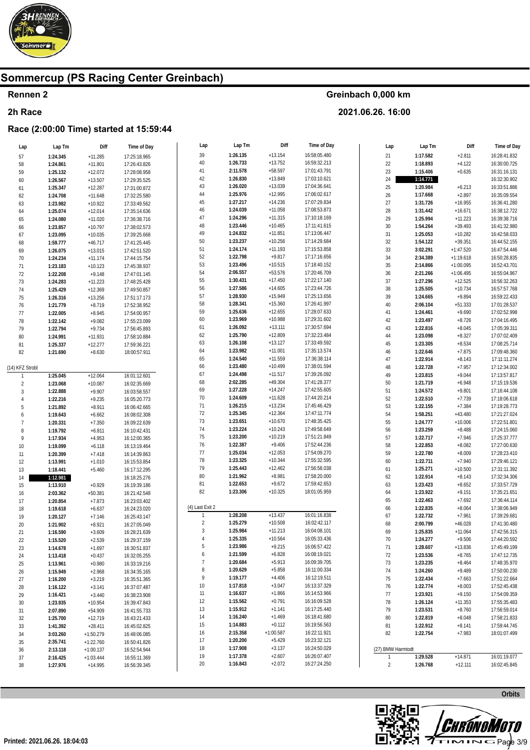

### Rennen 2

#### 2h Race

### Race (2:00:00 Time) started at 15:59:44

| Lap             | Lap Tm   | Diff        | Time of Day  | Lap             | Lap Tm   | Diff        | Time of Day  | Lap               | Lap Tm   | Diff        | Time of Day  |
|-----------------|----------|-------------|--------------|-----------------|----------|-------------|--------------|-------------------|----------|-------------|--------------|
| 57              | 1:24.345 | $+11.285$   | 17:25:18.965 | 39              | 1:26.135 | $+13.154$   | 16:58:05.480 | 21                | 1:17.582 | $+2.811$    | 16:28:41.832 |
| 58              | 1:24.861 | $+11.801$   | 17:26:43.826 | $40\,$          | 1:26.733 | $+13.752$   | 16:59:32.213 | $22\,$            | 1:18.893 | $+4.122$    | 16:30:00.725 |
| 59              | 1:25.132 | $+12.072$   | 17:28:08.958 | 41              | 2:11.578 | $+58.597$   | 17:01:43.791 | 23                | 1:15.406 | $+0.635$    | 16:31:16.131 |
|                 |          |             |              | 42              | 1:26.830 | $+13.849$   | 17:03:10.621 | 24                | 1:14.771 |             | 16:32:30.902 |
| 60              | 1:26.567 | $+13.507$   | 17:29:35.525 | 43              | 1:26.020 | $+13.039$   | 17:04:36.641 | 25                |          |             |              |
| 61              | 1:25.347 | $+12.287$   | 17:31:00.872 |                 |          |             |              |                   | 1:20.984 | $+6.213$    | 16:33:51.886 |
| 62              | 1:24.708 | $+11.648$   | 17:32:25.580 | 44              | 1:25.976 | $+12.995$   | 17:06:02.617 | 26                | 1:17.668 | $+2.897$    | 16:35:09.554 |
| 63              | 1:23.982 | $+10.922$   | 17:33:49.562 | 45              | 1:27.217 | $+14.236$   | 17:07:29.834 | 27                | 1:31.726 | $+16.955$   | 16:36:41.280 |
| 64              | 1:25.074 | $+12.014$   | 17:35:14.636 | 46              | 1:24.039 | $+11.058$   | 17:08:53.873 | 28                | 1:31.442 | $+16.671$   | 16:38:12.722 |
| 65              | 1:24.080 | $+11.020$   | 17:36:38.716 | 47              | 1:24.296 | $+11.315$   | 17:10:18.169 | 29                | 1:25.994 | $+11.223$   | 16:39:38.716 |
| 66              | 1:23.857 | $+10.797$   | 17:38:02.573 | 48              | 1:23.446 | $+10.465$   | 17:11:41.615 | $30\,$            | 1:54.264 | $+39.493$   | 16:41:32.980 |
| 67              | 1:23.095 | $+10.035$   | 17:39:25.668 | 49              | 1:24.832 | $+11.851$   | 17:13:06.447 | 31                | 1:25.053 | $+10.282$   | 16:42:58.033 |
| 68              | 1:59.777 | $+46.717$   | 17:41:25.445 | 50              | 1:23.237 | $+10.256$   | 17:14:29.684 | 32                | 1:54.122 | $+39.351$   | 16:44:52.155 |
| 69              | 1:26.075 | $+13.015$   | 17:42:51.520 | 51              | 1:24.174 | $+11.193$   | 17:15:53.858 | 33                | 3:02.291 | $+1:47.520$ | 16:47:54.446 |
| $70\,$          | 1:24.234 | $+11.174$   | 17:44:15.754 | 52              | 1:22.798 | $+9.817$    | 17:17:16.656 | 34                | 2:34.389 | $+1:19.618$ | 16:50:28.835 |
|                 |          |             |              | 53              | 1:23.496 | $+10.515$   | 17:18:40.152 | 35                | 2:14.866 | $+1:00.095$ | 16:52:43.701 |
| 71              | 1:23.183 | $+10.123$   | 17:45:38.937 | 54              | 2:06.557 | $+53.576$   | 17:20:46.709 |                   |          |             |              |
| $72\,$          | 1:22.208 | $+9.148$    | 17:47:01.145 |                 |          |             |              | 36                | 2:21.266 | $+1:06.495$ | 16:55:04.967 |
| 73              | 1:24.283 | $+11.223$   | 17:48:25.428 | 55              | 1:30.431 | $+17.450$   | 17:22:17.140 | 37                | 1:27.296 | $+12.525$   | 16:56:32.263 |
| 74              | 1:25.429 | $+12.369$   | 17:49:50.857 | 56              | 1:27.586 | $+14.605$   | 17:23:44.726 | 38                | 1:25.505 | $+10.734$   | 16:57:57.768 |
| $75\,$          | 1:26.316 | $+13.256$   | 17:51:17.173 | 57              | 1:28.930 | $+15.949$   | 17:25:13.656 | 39                | 1:24.665 | $+9.894$    | 16:59:22.433 |
| $76\,$          | 1:21.779 | $+8.719$    | 17:52:38.952 | 58              | 1:28.341 | $+15.360$   | 17:26:41.997 | 40                | 2:06.104 | $+51.333$   | 17:01:28.537 |
| $77\,$          | 1:22.005 | $+8.945$    | 17:54:00.957 | 59              | 1:25.636 | $+12.655$   | 17:28:07.633 | 41                | 1:24.461 | $+9.690$    | 17:02:52.998 |
| ${\bf 78}$      | 1:22.142 | $+9.082$    | 17:55:23.099 | 60              | 1:23.969 | $+10.988$   | 17:29:31.602 | 42                | 1:23.497 | $+8.726$    | 17:04:16.495 |
| 79              | 1:22.794 | $+9.734$    | 17:56:45.893 | 61              | 1:26.092 | $+13.111$   | 17:30:57.694 | 43                | 1:22.816 | $+8.045$    | 17:05:39.311 |
|                 | 1:24.991 | $+11.931$   | 17:58:10.884 | 62              | 1:25.790 | $+12.809$   | 17:32:23.484 | 44                | 1:23.098 | $+8.327$    | 17:07:02.409 |
| $80\,$          |          |             |              | 63              | 1:26.108 | $+13.127$   | 17:33:49.592 | 45                | 1:23.305 | $+8.534$    | 17:08:25.714 |
| 81              | 1:25.337 | $+12.277$   | 17:59:36.221 | 64              | 1:23.982 | $+11.001$   | 17:35:13.574 |                   |          |             |              |
| 82              | 1:21.690 | $+8.630$    | 18:00:57.911 |                 |          |             |              | 46                | 1:22.646 | $+7.875$    | 17:09:48.360 |
|                 |          |             |              | 65              | 1:24.540 | $+11.559$   | 17:36:38.114 | 47                | 1:22.914 | $+8.143$    | 17:11:11.274 |
| (14) KFZ Strobl |          |             |              | 66              | 1:23.480 | $+10.499$   | 17:38:01.594 | 48                | 1:22.728 | $+7.957$    | 17:12:34.002 |
| $\overline{1}$  | 1:25.045 | $+12.064$   | 16:01:12.601 | 67              | 1:24.498 | $+11.517$   | 17:39:26.092 | 49                | 1:23.815 | $+9.044$    | 17:13:57.817 |
| $\overline{2}$  | 1:23.068 | $+10.087$   | 16:02:35.669 | 68              | 2:02.285 | $+49.304$   | 17:41:28.377 | 50                | 1:21.719 | $+6.948$    | 17:15:19.536 |
| 3               | 1:22.888 | $+9.907$    | 16:03:58.557 | 69              | 1:27.228 | $+14.247$   | 17:42:55.605 | 51                | 1:24.572 | $+9.801$    | 17:16:44.108 |
| $\overline{4}$  | 1:22.216 | $+9.235$    | 16:05:20.773 | 70              | 1:24.609 | $+11.628$   | 17:44:20.214 | 52                | 1:22.510 | $+7.739$    | 17:18:06.618 |
| 5               | 1:21.892 | $+8.911$    | 16:06:42.665 | 71              | 1:26.215 | $+13.234$   | 17:45:46.429 | 53                | 1:22.155 | $+7.384$    | 17:19:28.773 |
| 6               | 1:19.643 | $+6.662$    | 16:08:02.308 | 72              | 1:25.345 | $+12.364$   | 17:47:11.774 | 54                | 1:58.251 | $+43.480$   | 17:21:27.024 |
| $\overline{7}$  | 1:20.331 | $+7.350$    | 16:09:22.639 | 73              | 1:23.651 | $+10.670$   | 17:48:35.425 | 55                | 1:24.777 | $+10.006$   | 17:22:51.801 |
|                 |          |             |              | 74              | 1:23.224 | $+10.243$   | 17:49:58.649 | 56                | 1:23.259 | $+8.488$    | 17:24:15.060 |
| 8               | 1:19.792 | $+6.811$    | 16:10:42.431 | 75              | 1:23.200 | $+10.219$   | 17:51:21.849 | 57                |          |             | 17:25:37.777 |
| 9               | 1:17.934 | $+4.953$    | 16:12:00.365 |                 | 1:22.387 |             | 17:52:44.236 |                   | 1:22.717 | $+7.946$    |              |
| $10\,$          | 1:19.099 | $+6.118$    | 16:13:19.464 | 76              |          | $+9.406$    |              | 58                | 1:22.853 | $+8.082$    | 17:27:00.630 |
| 11              | 1:20.399 | $+7.418$    | 16:14:39.863 | 77              | 1:25.034 | $+12.053$   | 17:54:09.270 | 59                | 1:22.780 | $+8.009$    | 17:28:23.410 |
| 12              | 1:13.991 | $+1.010$    | 16:15:53.854 | 78              | 1:23.325 | $+10.344$   | 17:55:32.595 | 60                | 1:22.711 | $+7.940$    | 17:29:46.121 |
| 13              | 1:18.441 | $+5.460$    | 16:17:12.295 | 79              | 1:25.443 | $+12.462$   | 17:56:58.038 | 61                | 1:25.271 | $+10.500$   | 17:31:11.392 |
| 14              | 1:12.981 |             | 16:18:25.276 | 80              | 1:21.962 | $+8.981$    | 17:58:20.000 | 62                | 1:22.914 | $+8.143$    | 17:32:34.306 |
| 15              | 1:13.910 | $+0.929$    | 16:19:39.186 | 81              | 1:22.653 | $+9.672$    | 17:59:42.653 | 63                | 1:23.423 | $+8.652$    | 17:33:57.729 |
| 16              | 2:03.362 | $+50.381$   | 16:21:42.548 | 82              | 1:23.306 | $+10.325$   | 18:01:05.959 | 64                | 1:23.922 | $+9.151$    | 17:35:21.651 |
| 17              | 1:20.854 | $+7.873$    | 16:23:03.402 |                 |          |             |              | 65                | 1:22.463 | $+7.692$    | 17:36:44.114 |
| 18              | 1:19.618 | $+6.637$    | 16:24:23.020 | (4) Last Exit 2 |          |             |              | 66                | 1:22.835 | $+8.064$    | 17:38:06.949 |
| 19              | 1:20.127 | $+7.146$    | 16:25:43.147 | $\mathbf{1}$    | 1:28.208 | $+13.437$   | 16:01:16.838 | 67                | 1:22.732 | $+7.961$    | 17:39:29.681 |
|                 |          |             |              | $\sqrt{2}$      | 1:25.279 | $+10.508$   | 16:02:42.117 | 68                | 2:00.799 | $+46.028$   | 17:41:30.480 |
| $20\,$          | 1:21.902 | $+8.921$    | 16:27:05.049 | $\sqrt{3}$      | 1:25.984 | $+11.213$   | 16:04:08.101 | 69                |          |             |              |
| 21              | 1:16.590 | $+3.609$    | 16:28:21.639 | $\overline{4}$  |          |             |              |                   | 1:25.835 | $+11.064$   | 17:42:56.315 |
| 22              | 1:15.520 | $+2.539$    | 16:29:37.159 |                 | 1:25.335 | $+10.564$   | 16:05:33.436 | 70                | 1:24.277 | $+9.506$    | 17:44:20.592 |
| 23              | 1:14.678 | $+1.697$    | 16:30:51.837 | 5               | 1:23.986 | $+9.215$    | 16:06:57.422 | 71                | 1:28.607 | $+13.836$   | 17:45:49.199 |
| 24              | 1:13.418 | $+0.437$    | 16:32:05.255 | 6               | 1:21.599 | $+6.828$    | 16:08:19.021 | 72                | 1:23.536 | $+8.765$    | 17:47:12.735 |
| 25              | 1:13.961 | $+0.980$    | 16:33:19.216 | 7               | 1:20.684 | $+5.913$    | 16:09:39.705 | 73                | 1:23.235 | $+8.464$    | 17:48:35.970 |
| 26              | 1:15.949 | $+2.968$    | 16:34:35.165 | 8               | 1:20.629 | $+5.858$    | 16:11:00.334 | 74                | 1:24.260 | $+9.489$    | 17:50:00.230 |
| 27              | 1:16.200 | $+3.219$    | 16:35:51.365 | 9               | 1:19.177 | $+4.406$    | 16:12:19.511 | 75                | 1:22.434 | $+7.663$    | 17:51:22.664 |
| 28              | 1:16.122 | $+3.141$    | 16:37:07.487 | 10              | 1:17.818 | $+3.047$    | 16:13:37.329 | 76                | 1:22.774 | $+8.003$    | 17:52:45.438 |
| 29              | 1:16.421 | $+3.440$    | 16:38:23.908 | 11              | 1:16.637 | $+1.866$    | 16:14:53.966 | 77                | 1:23.921 | $+9.150$    | 17:54:09.359 |
| 30              | 1:23.935 | $+10.954$   | 16:39:47.843 | 12              | 1:15.562 | $+0.791$    | 16:16:09.528 | 78                | 1:26.124 | $+11.353$   | 17:55:35.483 |
|                 |          |             |              | 13              | 1:15.912 | $+1.141$    | 16:17:25.440 | 79                |          |             | 17:56:59.014 |
| 31              | 2:07.890 | $+54.909$   | 16:41:55.733 |                 | 1:16.240 | $+1.469$    | 16:18:41.680 |                   | 1:23.531 | $+8.760$    |              |
| 32              | 1:25.700 | $+12.719$   | 16:43:21.433 | 14              |          |             |              | 80                | 1:22.819 | $+8.048$    | 17:58:21.833 |
| 33              | 1:41.392 | $+28.411$   | 16:45:02.825 | 15              | 1:14.883 | $+0.112$    | 16:19:56.563 | 81                | 1:22.912 | $+8.141$    | 17:59:44.745 |
| 34              | 3:03.260 | $+1:50.279$ | 16:48:06.085 | 16              | 2:15.358 | $+1:00.587$ | 16:22:11.921 | 82                | 1:22.754 | $+7.983$    | 18:01:07.499 |
| 35              | 2:35.741 | $+1:22.760$ | 16:50:41.826 | 17              | 1:20.200 | $+5.429$    | 16:23:32.121 |                   |          |             |              |
| 36              | 2:13.118 | $+1:00.137$ | 16:52:54.944 | 18              | 1:17.908 | $+3.137$    | 16:24:50.029 | (27) BMW Harmtodt |          |             |              |
| 37              | 2:16.425 | $+1:03.444$ | 16:55:11.369 | 19              | 1:17.378 | $+2.607$    | 16:26:07.407 | 1                 | 1:29.528 | $+14.871$   | 16:01:19.077 |
| 38              | 1:27.976 | $+14.995$   | 16:56:39.345 | 20              | 1:16.843 | $+2.072$    | 16:27:24.250 | $\overline{2}$    | 1:26.768 | $+12.111$   | 16:02:45.845 |
|                 |          |             |              |                 |          |             |              |                   |          |             |              |

Greinbach 0,000 km

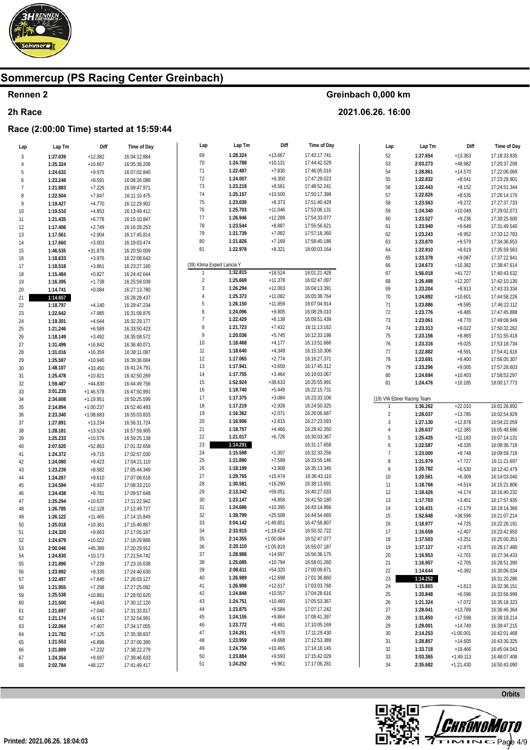

### Rennen 2

#### 2h Race

### Race (2:00:00 Time) started at 15:59:44

| Lap            | Lap Tm   | Diff        | Time of Day  | Lap                        | Lap Im   | DIII        | Time of Day  | Lap                       | Lap Tm   | Diff        | Time of Day  |
|----------------|----------|-------------|--------------|----------------------------|----------|-------------|--------------|---------------------------|----------|-------------|--------------|
| $\sqrt{3}$     | 1:27.039 | $+12.382$   | 16:04:12.884 | 69                         | 1:28.324 | $+13.667$   | 17:43:17.741 | 52                        | 1:27.654 | $+13.363$   | 17:18:33.935 |
| $\overline{4}$ | 1:25.324 | $+10.667$   | 16:05:38.208 | $70\,$                     | 1:24.788 | $+10.131$   | 17:44:42.529 | 53                        | 2:03.273 | $+48.982$   | 17:20:37.208 |
| 5              | 1:24.632 | $+9.975$    | 16:07:02.840 | 71                         | 1:22.487 | $+7.830$    | 17:46:05.016 | 54                        | 1:28.861 | $+14.570$   | 17:22:06.069 |
|                |          |             |              | 72                         | 1:24.007 | $+9.350$    | 17:47:29.023 | 55                        | 1:22.832 | $+8.541$    | 17:23:28.901 |
| 6              | 1:23.248 | $+8.591$    | 16:08:26.088 | $73\,$                     | 1:23.218 | $+8.561$    | 17:48:52.241 |                           |          |             |              |
| $\overline{7}$ | 1:21.883 | $+7.226$    | 16:09:47.971 |                            |          |             |              | 56                        | 1:22.443 | $+8.152$    | 17:24:51.344 |
| 8              | 1:22.504 | $+7.847$    | 16:11:10.475 | 74                         | 1:25.157 | $+10.500$   | 17:50:17.398 | 57                        | 1:22.826 | $+8.535$    | 17:26:14.170 |
| 9              | 1:19.427 | $+4.770$    | 16:12:29.902 | $75\,$                     | 1:23.030 | $+8.373$    | 17:51:40.428 | 58                        | 1:23.563 | $+9.272$    | 17:27:37.733 |
| 10             | 1:19.510 | $+4.853$    | 16:13:49.412 | $76\,$                     | 1:25.703 | $+11.046$   | 17:53:06.131 | 59                        | 1:24.340 | $+10.049$   | 17:29:02.073 |
| 11             | 1:21.435 | $+6.778$    | 16:15:10.847 | $77\,$                     | 1:26.946 | $+12.289$   | 17:54:33.077 | 60                        | 1:23.527 | $+9.236$    | 17:30:25.600 |
| 12             | 1:17.406 | $+2.749$    | 16:16:28.253 | 78                         | 1:23.544 | $+8.887$    | 17:55:56.621 | 61                        | 1:23.940 | $+9.649$    | 17:31:49.540 |
| 13             | 1:17.561 | $+2.904$    | 16:17:45.814 | 79                         | 1:21.739 | $+7.082$    | 17:57:18.360 | 62                        | 1:23.243 | $+8.952$    | 17:33:12.783 |
| 14             | 1:17.660 | $+3.003$    | 16:19:03.474 | $80\,$                     | 1:21.826 | $+7.169$    | 17:58:40.186 | 63                        | 1:23.870 | $+9.579$    | 17:34:36.653 |
| 15             | 1:46.535 | $+31.878$   | 16:20:50.009 | 81                         | 1:22.978 | $+8.321$    | 18:00:03.164 | 64                        | 1:22.910 | $+8.619$    | 17:35:59.563 |
| 16             | 1:18.633 | $+3.976$    | 16:22:08.642 |                            |          |             |              | 65                        | 1:23.378 | $+9.087$    | 17:37:22.941 |
|                |          |             |              | (39) Klima Expert Lancia Y |          |             |              | 66                        | 1:24.673 | $+10.382$   | 17:38:47.614 |
| 17             | 1:18.518 | $+3.861$    | 16:23:27.160 |                            | 1:32.815 | $+18.524$   | 16:01:21.428 |                           |          |             |              |
| 18             | 1:15.484 | $+0.827$    | 16:24:42.644 |                            |          |             |              | 67                        | 1:56.018 | $+41.727$   | 17:40:43.632 |
| 19             | 1:16.395 | $+1.738$    | 16:25:59.039 | $\overline{c}$             | 1:25.669 | $+11.378$   | 16:02:47.097 | 68                        | 1:26.498 | $+12.207$   | 17:42:10.130 |
| 20             | 1:14.741 | $+0.084$    | 16:27:13.780 | 3                          | 1:26.294 | $+12.003$   | 16:04:13.391 | 69                        | 1:23.204 | $+8.913$    | 17:43:33.334 |
| 21             | 1:14.657 |             | 16:28:28.437 | $\overline{4}$             | 1:25.373 | $+11.082$   | 16:05:38.764 | $70\,$                    | 1:24.892 | $+10.601$   | 17:44:58.226 |
| 22             | 1:18.797 | $+4.140$    | 16:29:47.234 | 5                          | 1:26.150 | $+11.859$   | 16:07:04.914 | 71                        | 1:23.886 | $+9.595$    | 17:46:22.112 |
| 23             | 1:22.642 | $+7.985$    | 16:31:09.876 | 6                          | 1:24.096 | $+9.805$    | 16:08:29.010 | $72\,$                    | 1:23.776 | $+9.485$    | 17:47:45.888 |
| 24             | 1:19.301 | $+4.644$    | 16:32:29.177 | $\overline{7}$             | 1:22.429 | $+8.138$    | 16:09:51.439 | 73                        | 1:23.061 | $+8.770$    | 17:49:08.949 |
| 25             | 1:21.246 | $+6.589$    | 16:33:50.423 | 8                          | 1:21.723 | $+7.432$    | 16:11:13.162 | 74                        | 1:23.313 | $+9.022$    | 17:50:32.262 |
| 26             | 1:18.149 | $+3.492$    | 16:35:08.572 | 9                          | 1:20.036 | $+5.745$    | 16:12:33.198 | 75                        | 1:23.156 | $+8.865$    | 17:51:55.418 |
| 27             | 1:31.499 | $+16.842$   | 16:36:40.071 | $10\,$                     | 1:18.468 | $+4.177$    | 16:13:51.666 | 76                        | 1:23.316 | $+9.025$    | 17:53:18.734 |
| 28             | 1:31.016 | $+16.359$   | 16:38:11.087 | 11                         | 1:18.640 | $+4.349$    | 16:15:10.306 | 77                        | 1:22.882 | $+8.591$    | 17:54:41.616 |
|                |          |             |              | 12                         | 1:17.065 | $+2.774$    | 16:16:27.371 | 78                        | 1:23.691 | $+9.400$    | 17:56:05.307 |
| 29             | 1:25.597 | $+10.940$   | 16:39:36.684 | $13\,$                     | 1:17.941 | $+3.650$    | 16:17:45.312 |                           |          |             |              |
| 30             | 1:48.107 | $+33.450$   | 16:41:24.791 | 14                         | 1:17.755 | $+3.464$    | 16:19:03.067 | 79                        | 1:23.296 | $+9.005$    | 17:57:28.603 |
| 31             | 1:25.478 | $+10.821$   | 16:42:50.269 |                            |          | $+38.633$   |              | 80                        | 1:24.694 | $+10.403$   | 17:58:53.297 |
| 32             | 1:59.487 | $+44.830$   | 16:44:49.756 | $15\,$                     | 1:52.924 |             | 16:20:55.991 | 81                        | 1:24.476 | $+10.185$   | 18:00:17.773 |
| 33             | 3:01.235 | $+1:46.578$ | 16:47:50.991 | 16                         | 1:19.740 | $+5.449$    | 16:22:15.731 |                           |          |             |              |
| 34             | 2:34.608 | $+1:19.951$ | 16:50:25.599 | 17                         | 1:17.375 | $+3.084$    | 16:23:33.106 | (19) VW Ebner Racing Team |          |             |              |
| 35             | 2:14.894 | $+1:00.237$ | 16:52:40.493 | $18\,$                     | 1:17.219 | $+2.928$    | 16:24:50.325 |                           | 1:36.262 | $+22.010$   | 16:01:26.892 |
| 36             | 2:23.340 | $+1:08.683$ | 16:55:03.833 | 19                         | 1:16.362 | $+2.071$    | 16:26:06.687 | $\sqrt{2}$                | 1:28.037 | $+13.785$   | 16:02:54.929 |
| 37             | 1:27.891 | $+13.234$   | 16:56:31.724 | $20\,$                     | 1:16.906 | $+2.615$    | 16:27:23.593 | 3                         | 1:27.130 | $+12.878$   | 16:04:22.059 |
| 38             | 1:28.181 | $+13.524$   | 16:57:59.905 | 21                         | 1:18.757 | $+4.466$    | 16:28:42.350 | $\overline{4}$            | 1:26.637 | $+12.385$   | 16:05:48.696 |
| 39             | 1:25.233 | $+10.576$   | 16:59:25.138 | $22\,$                     | 1:21.017 | $+6.726$    | 16:30:03.367 | 5                         | 1:25.435 | $+11.183$   | 16:07:14.131 |
| 40             | 2:07.520 | $+52.863$   | 17:01:32.658 | 23                         | 1:14.291 |             | 16:31:17.658 | 6                         | 1:22.587 | $+8.335$    | 16:08:36.718 |
| 41             | 1:24.372 | $+9.715$    | 17:02:57.030 | $24\,$                     | 1:15.598 | $+1.307$    | 16:32:33.256 | $\overline{7}$            | 1:23.000 | $+8.748$    | 16:09:59.718 |
| 42             | 1:24.080 | $+9.423$    | 17:04:21.110 | 25                         | 1:21.890 | $+7.599$    | 16:33:55.146 | 8                         | 1:21.979 | $+7.727$    | 16:11:21.697 |
| 43             | 1:23.239 | $+8.582$    | 17:05:44.349 | $26\,$                     | 1:18.199 | $+3.908$    | 16:35:13.345 | 9                         | 1:20.782 | $+6.530$    | 16:12:42.479 |
| 44             | 1:24.267 | $+9.610$    | 17:07:08.616 | 27                         | 1:29.765 | $+15.474$   | 16:36:43.110 | 10                        | 1:20.561 | $+6.309$    | 16:14:03.040 |
|                |          |             |              | ${\bf 28}$                 | 1:30.581 | $+16.290$   | 16:38:13.691 | $11\,$                    | 1:18.766 | $+4.514$    | 16:15:21.806 |
| 45             | 1:24.594 | $+9.937$    | 17:08:33.210 | 29                         | 2:13.342 | $+59.051$   | 16:40:27.033 |                           |          |             |              |
| 46             | 1:24.438 | $+9.781$    | 17:09:57.648 | $30\,$                     | 1:23.147 | $+8.856$    | 16:41:50.180 | 12                        | 1:18.426 | $+4.174$    | 16:16:40.232 |
| 47             | 1:25.294 | $+10.637$   | 17:11:22.942 |                            | 1:24.686 |             |              | 13                        | 1:17.703 | $+3.451$    | 16:17:57.935 |
| 48             | 1:26.785 | $+12.128$   | 17:12:49.727 | 31                         |          | $+10.395$   | 16:43:14.866 | 14                        | 1:16.431 | $+2.179$    | 16:19:14.366 |
| 49             | 1:26.122 | $+11.465$   | 17:14:15.849 | $32\,$                     | 1:39.799 | $+25.508$   | 16:44:54.665 | 15                        | 1:52.848 | $+38.596$   | 16:21:07.214 |
| 50             | 1:25.018 | $+10.361$   | 17:15:40.867 | 33                         | 3:04.142 | $+1:49.851$ | 16:47:58.807 | 16                        | 1:18.977 | $+4.725$    | 16:22:26.191 |
| 51             | 1:24.320 | $+9.663$    | 17:17:05.187 | 34                         | 2:33.915 | $+1:19.624$ | 16:50:32.722 | 17                        | 1:16.659 | $+2.407$    | 16:23:42.850 |
| 52             | 1:24.679 | $+10.022$   | 17:18:29.866 | 35                         | 2:14.355 | $+1:00.064$ | 16:52:47.077 | 18                        | 1:17.503 | $+3.251$    | 16:25:00.353 |
| 53             | 2:00.046 | $+45.389$   | 17:20:29.912 | 36                         | 2:20.110 | $+1:05.819$ | 16:55:07.187 | 19                        | 1:17.127 | $+2.875$    | 16:26:17.480 |
| 54             | 1:24.830 | $+10.173$   | 17:21:54.742 | 37                         | 1:28.988 | $+14.697$   | 16:56:36.175 | 20                        | 1:16.953 | $+2.701$    | 16:27:34.433 |
| 55             | 1:21.896 | $+7.239$    | 17:23:16.638 | 38                         | 1:25.085 | $+10.794$   | 16:58:01.260 | 21                        | 1:16.957 | $+2.705$    | 16:28:51.390 |
| 56             | 1:23.992 | $+9.335$    | 17:24:40.630 | 39                         | 2:08.611 | $+54.320$   | 17:00:09.871 | 22                        | 1:14.644 | $+0.392$    | 16:30:06.034 |
| 57             | 1:22.497 | $+7.840$    | 17:26:03.127 | 40                         | 1:26.989 | $+12.698$   | 17:01:36.860 | 23                        | 1:14.252 |             | 16:31:20.286 |
| 58             | 1:21.955 | $+7.298$    | 17:27:25.082 | 41                         | 1:26.908 | $+12.617$   | 17:03:03.768 | 24                        | 1:15.865 | $+1.613$    | 16:32:36.151 |
|                |          |             |              | 42                         | 1:24.848 | $+10.557$   | 17:04:28.616 | 25                        | 1:20.848 | $+6.596$    | 16:33:56.999 |
| 59             | 1:25.538 | $+10.881$   | 17:28:50.620 | 43                         | 1:24.751 | $+10.460$   | 17:05:53.367 | 26                        | 1:21.324 |             | 16:35:18.323 |
| 60             | 1:21.500 | $+6.843$    | 17:30:12.120 |                            | 1:23.875 | $+9.584$    | 17:07:17.242 |                           |          | $+7.072$    |              |
| 61             | 1:21.697 | $+7.040$    | 17:31:33.817 | 44                         |          |             |              | 27                        | 1:28.041 | $+13.789$   | 16:36:46.364 |
| 62             | 1:21.174 | $+6.517$    | 17:32:54.991 | 45                         | 1:24.155 | $+9.864$    | 17:08:41.397 | 28                        | 1:31.850 | $+17.598$   | 16:38:18.214 |
| 63             | 1:22.064 | $+7.407$    | 17:34:17.055 | 46                         | 1:23.772 | $+9.481$    | 17:10:05.169 | 29                        | 1:29.001 | $+14.749$   | 16:39:47.215 |
| 64             | 1:21.782 | $+7.125$    | 17:35:38.837 | 47                         | 1:24.261 | $+9.970$    | 17:11:29.430 | $30\,$                    | 2:14.253 | $+1:00.001$ | 16:42:01.468 |
| 65             | 1:21.553 | $+6.896$    | 17:37:00.390 | 48                         | 1:23.959 | $+9.668$    | 17:12:53.389 | 31                        | 1:28.857 | $+14.605$   | 16:43:30.325 |
| 66             | 1:21.889 | $+7.232$    | 17:38:22.279 | 49                         | 1:24.756 | $+10.465$   | 17:14:18.145 | 32                        | 1:33.718 | $+19.466$   | 16:45:04.043 |
| 67             | 1:24.354 | $+9.697$    | 17:39:46.633 | 50                         | 1:23.884 | $+9.593$    | 17:15:42.029 | 33                        | 3:03.365 | $+1:49.113$ | 16:48:07.408 |
| 68             | 2:02.784 | $+48.127$   | 17:41:49.417 | 51                         | 1:24.252 | $+9.961$    | 17:17:06.281 | 34                        | 2:35.682 | $+1:21.430$ | 16:50:43.090 |
|                |          |             |              |                            |          |             |              |                           |          |             |              |

Greinbach 0,000 km

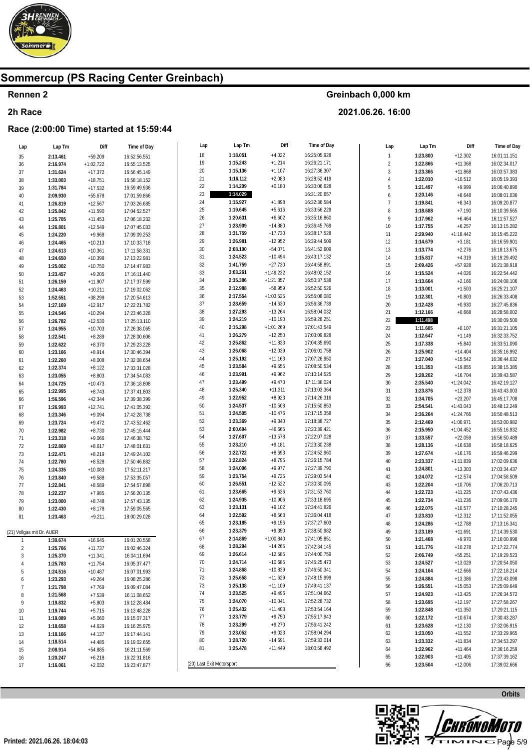

### Rennen 2

#### 2h Race

### Race (2:00:00 Time) started at 15:59:44

| Lap                       | Lap Tm   | Diff        | Time of Day  | Lap                       | Lap Tm   | Diff        | Time of Day  | Lap            | Lap Tm   | Diff        | Time of Day  |
|---------------------------|----------|-------------|--------------|---------------------------|----------|-------------|--------------|----------------|----------|-------------|--------------|
| 35                        | 2:13.461 | $+59.209$   | 16:52:56.551 | 18                        | 1:18.051 | $+4.022$    | 16:25:05.928 | $\mathbbm{1}$  | 1:23.800 | $+12.302$   | 16:01:11.151 |
| 36                        | 2:16.974 | $+1:02.722$ | 16:55:13.525 | 19                        | 1:15.243 | $+1.214$    | 16:26:21.171 | $\sqrt{2}$     | 1:22.866 | $+11.368$   | 16:02:34.017 |
| 37                        | 1:31.624 | $+17.372$   | 16:56:45.149 | $20\,$                    | 1:15.136 | $+1.107$    | 16:27:36.307 | $\mathbf{3}$   | 1:23.366 | $+11.868$   | 16:03:57.383 |
|                           |          |             |              | 21                        | 1:16.112 | $+2.083$    | 16:28:52.419 | $\overline{4}$ | 1:22.010 | $+10.512$   | 16:05:19.393 |
| 38                        | 1:33.003 | $+18.751$   | 16:58:18.152 | 22                        | 1:14.209 | $+0.180$    | 16:30:06.628 | 5              |          |             |              |
| 39                        | 1:31.784 | $+17.532$   | 16:59:49.936 |                           | 1:14.029 |             |              |                | 1:21.497 | $+9.999$    | 16:06:40.890 |
| 40                        | 2:09.930 | $+55.678$   | 17:01:59.866 | 23                        |          |             | 16:31:20.657 | 6              | 1:20.146 | $+8.648$    | 16:08:01.036 |
| 41                        | 1:26.819 | $+12.567$   | 17:03:26.685 | 24                        | 1:15.927 | $+1.898$    | 16:32:36.584 | $\overline{7}$ | 1:19.841 | $+8.343$    | 16:09:20.877 |
| 42                        | 1:25.842 | $+11.590$   | 17:04:52.527 | 25                        | 1:19.645 | $+5.616$    | 16:33:56.229 | 8              | 1:18.688 | $+7.190$    | 16:10:39.565 |
| 43                        | 1:25.705 | $+11.453$   | 17:06:18.232 | 26                        | 1:20.631 | $+6.602$    | 16:35:16.860 | 9              | 1:17.962 | $+6.464$    | 16:11:57.527 |
| 44                        | 1:26.801 | $+12.549$   | 17:07:45.033 | 27                        | 1:28.909 | $+14.880$   | 16:36:45.769 | $10\,$         | 1:17.755 | $+6.257$    | 16:13:15.282 |
| 45                        | 1:24.220 | $+9.968$    | 17:09:09.253 | 28                        | 1:31.759 | $+17.730$   | 16:38:17.528 | 11             | 2:29.940 | $+1:18.442$ | 16:15:45.222 |
| 46                        | 1:24.465 | $+10.213$   | 17:10:33.718 | 29                        | 1:26.981 | $+12.952$   | 16:39:44.509 | $12\,$         | 1:14.679 | $+3.181$    | 16:16:59.901 |
| 47                        | 1:24.613 | $+10.361$   | 17:11:58.331 | $30\,$                    | 2:08.100 | $+54.071$   | 16:41:52.609 | 13             | 1:13.774 | $+2.276$    | 16:18:13.675 |
| 48                        | 1:24.650 | $+10.398$   | 17:13:22.981 | 31                        | 1:24.523 | $+10.494$   | 16:43:17.132 | 14             | 1:15.817 | $+4.319$    | 16:19:29.492 |
|                           |          |             |              | 32                        | 1:41.759 | $+27.730$   | 16:44:58.891 | 15             | 2:09.426 | $+57.928$   | 16:21:38.918 |
| 49                        | 1:25.002 | $+10.750$   | 17:14:47.983 | 33                        | 3:03.261 | $+1:49.232$ | 16:48:02.152 |                |          |             |              |
| 50                        | 1:23.457 | $+9.205$    | 17:16:11.440 |                           |          |             |              | 16             | 1:15.524 | $+4.026$    | 16:22:54.442 |
| 51                        | 1:26.159 | $+11.907$   | 17:17:37.599 | $34\,$                    | 2:35.386 | $+1:21.357$ | 16:50:37.538 | 17             | 1:13.664 | $+2.166$    | 16:24:08.106 |
| 52                        | 1:24.463 | $+10.211$   | 17:19:02.062 | 35                        | 2:12.988 | +58.959     | 16:52:50.526 | 18             | 1:13.001 | $+1.503$    | 16:25:21.107 |
| 53                        | 1:52.551 | $+38.299$   | 17:20:54.613 | 36                        | 2:17.554 | $+1:03.525$ | 16:55:08.080 | 19             | 1:12.301 | $+0.803$    | 16:26:33.408 |
| 54                        | 1:27.169 | $+12.917$   | 17:22:21.782 | $37\,$                    | 1:28.659 | $+14.630$   | 16:56:36.739 | $20\,$         | 1:12.428 | $+0.930$    | 16:27:45.836 |
| 55                        | 1:24.546 | $+10.294$   | 17:23:46.328 | 38                        | 1:27.293 | $+13.264$   | 16:58:04.032 | 21             | 1:12.166 | $+0.668$    | 16:28:58.002 |
| 56                        | 1:26.782 | $+12.530$   | 17:25:13.110 | 39                        | 1:24.219 | $+10.190$   | 16:59:28.251 | $22\,$         | 1:11.498 |             | 16:30:09.500 |
| 57                        | 1:24.955 | $+10.703$   | 17:26:38.065 | $40\,$                    | 2:15.298 | $+1:01.269$ | 17:01:43.549 | $23\,$         | 1:11.605 | $+0.107$    | 16:31:21.105 |
| 58                        | 1:22.541 | $+8.289$    | 17:28:00.606 | 41                        | 1:26.279 | $+12.250$   | 17:03:09.828 | 24             | 1:12.647 | $+1.149$    | 16:32:33.752 |
|                           |          |             |              | 42                        | 1:25.862 | $+11.833$   | 17:04:35.690 | $25\,$         | 1:17.338 | $+5.840$    | 16:33:51.090 |
| 59                        | 1:22.622 | $+8.370$    | 17:29:23.228 | 43                        | 1:26.068 | $+12.039$   | 17:06:01.758 | 26             |          |             |              |
| 60                        | 1:23.166 | $+8.914$    | 17:30:46.394 |                           | 1:25.192 | $+11.163$   | 17:07:26.950 |                | 1:25.902 | $+14.404$   | 16:35:16.992 |
| 61                        | 1:22.260 | $+8.008$    | 17:32:08.654 | 44                        |          |             |              | $27\,$         | 1:27.040 | $+15.542$   | 16:36:44.032 |
| 62                        | 1:22.374 | $+8.122$    | 17:33:31.028 | 45                        | 1:23.584 | $+9.555$    | 17:08:50.534 | 28             | 1:31.353 | $+19.855$   | 16:38:15.385 |
| 63                        | 1:23.055 | $+8.803$    | 17:34:54.083 | 46                        | 1:23.991 | $+9.962$    | 17:10:14.525 | 29             | 1:28.202 | $+16.704$   | 16:39:43.587 |
| 64                        | 1:24.725 | $+10.473$   | 17:36:18.808 | 47                        | 1:23.499 | $+9.470$    | 17:11:38.024 | $30\,$         | 2:35.540 | $+1:24.042$ | 16:42:19.127 |
| 65                        | 1:22.995 | $+8.743$    | 17:37:41.803 | 48                        | 1:25.340 | $+11.311$   | 17:13:03.364 | 31             | 1:23.876 | $+12.378$   | 16:43:43.003 |
| 66                        | 1:56.596 | $+42.344$   | 17:39:38.399 | 49                        | 1:22.952 | $+8.923$    | 17:14:26.316 | $32\,$         | 1:34.705 | $+23.207$   | 16:45:17.708 |
| 67                        | 1:26.993 | $+12.741$   | 17:41:05.392 | 50                        | 1:24.537 | $+10.508$   | 17:15:50.853 | $33\,$         | 2:54.541 | $+1:43.043$ | 16:48:12.249 |
| 68                        | 1:23.346 | $+9.094$    | 17:42:28.738 | 51                        | 1:24.505 | $+10.476$   | 17:17:15.358 | 34             | 2:36.264 | $+1:24.766$ | 16:50:48.513 |
| 69                        | 1:23.724 | $+9.472$    | 17:43:52.462 | 52                        | 1:23.369 | $+9.340$    | 17:18:38.727 | 35             | 2:12.469 | $+1:00.971$ | 16:53:00.982 |
| $70$                      | 1:22.982 | $+8.730$    |              | 53                        | 2:00.694 | $+46.665$   | 17:20:39.421 | $36\,$         | 2:15.950 | $+1:04.452$ | 16:55:16.932 |
|                           |          |             | 17:45:15.444 | 54                        | 1:27.607 | $+13.578$   | 17:22:07.028 | 37             | 1:33.557 | $+22.059$   | 16:56:50.489 |
| 71                        | 1:23.318 | $+9.066$    | 17:46:38.762 | 55                        | 1:23.210 | $+9.181$    | 17:23:30.238 |                |          |             |              |
| $72\,$                    | 1:22.869 | $+8.617$    | 17:48:01.631 |                           |          |             |              | 38             | 1:28.136 | $+16.638$   | 16:58:18.625 |
| 73                        | 1:22.471 | $+8.219$    | 17:49:24.102 | 56                        | 1:22.722 | $+8.693$    | 17:24:52.960 | 39             | 1:27.674 | $+16.176$   | 16:59:46.299 |
| 74                        | 1:22.780 | $+8.528$    | 17:50:46.882 | 57                        | 1:22.824 | $+8.795$    | 17:26:15.784 | 40             | 2:23.337 | $+1:11.839$ | 17:02:09.636 |
| 75                        | 1:24.335 | $+10.083$   | 17:52:11.217 | 58                        | 1:24.006 | $+9.977$    | 17:27:39.790 | 41             | 1:24.801 | $+13.303$   | 17:03:34.437 |
| 76                        | 1:23.840 | $+9.588$    | 17:53:35.057 | 59                        | 1:23.754 | $+9.725$    | 17:29:03.544 | 42             | 1:24.072 | $+12.574$   | 17:04:58.509 |
| $77 \,$                   | 1:22.841 | $+8.589$    | 17:54:57.898 | 60                        | 1:26.551 | $+12.522$   | 17:30:30.095 | 43             | 1:22.204 | $+10.706$   | 17:06:20.713 |
| 78                        | 1:22.237 | $+7.985$    | 17:56:20.135 | 61                        | 1:23.665 | $+9.636$    | 17:31:53.760 | 44             | 1:22.723 | $+11.225$   | 17:07:43.436 |
| 79                        | 1:23.000 | $+8.748$    | 17:57:43.135 | 62                        | 1:24.935 | $+10.906$   | 17:33:18.695 | 45             | 1:22.734 | $+11.236$   | 17:09:06.170 |
| 80                        | 1:22.430 | $+8.178$    | 17:59:05.565 | 63                        | 1:23.131 | $+9.102$    | 17:34:41.826 | 46             | 1:22.075 | $+10.577$   | 17:10:28.245 |
| 81                        | 1:23.463 | $+9.211$    |              | 64                        | 1:22.592 | $+8.563$    | 17:36:04.418 | 47             | 1:23.810 | $+12.312$   | 17:11:52.055 |
|                           |          |             | 18:00:29.028 | 65                        | 1:23.185 | $+9.156$    | 17:37:27.603 |                |          |             |              |
|                           |          |             |              |                           | 1:23.379 | $+9.350$    | 17:38:50.982 | 48             | 1:24.286 | $+12.788$   | 17:13:16.341 |
| (21) Vollgas mit Dr. AUER |          |             |              | 66                        |          |             |              | 49             | 1:23.189 | $+11.691$   | 17:14:39.530 |
| $\mathbf{1}$              | 1:30.674 | $+16.645$   | 16:01:20.558 | 67                        | 2:14.869 | $+1:00.840$ | 17:41:05.851 | 50             | 1:21.468 | $+9.970$    | 17:16:00.998 |
| $\overline{2}$            | 1:25.766 | $+11.737$   | 16:02:46.324 | 68                        | 1:28.294 | $+14.265$   | 17:42:34.145 | 51             | 1:21.776 | $+10.278$   | 17:17:22.774 |
| 3                         | 1:25.370 | $+11.341$   | 16:04:11.694 | 69                        | 1:26.614 | $+12.585$   | 17:44:00.759 | 52             | 2:06.749 | $+55.251$   | 17:19:29.523 |
| 4                         | 1:25.783 | $+11.754$   | 16:05:37.477 | 70                        | 1:24.714 | $+10.685$   | 17:45:25.473 | 53             | 1:24.527 | $+13.029$   | 17:20:54.050 |
| 5                         | 1:24.516 | $+10.487$   | 16:07:01.993 | 71                        | 1:24.868 | $+10.839$   | 17:46:50.341 | 54             | 1:24.164 | $+12.666$   | 17:22:18.214 |
| 6                         | 1:23.293 | $+9.264$    | 16:08:25.286 | 72                        | 1:25.658 | $+11.629$   | 17:48:15.999 | 55             | 1:24.884 | $+13.386$   | 17:23:43.098 |
| $\overline{7}$            | 1:21.798 | $+7.769$    | 16:09:47.084 | 73                        | 1:25.138 | $+11.109$   | 17:49:41.137 | 56             | 1:26.551 | $+15.053$   | 17:25:09.649 |
| 8                         | 1:21.568 |             | 16:11:08.652 | 74                        | 1:23.525 | $+9.496$    | 17:51:04.662 | 57             | 1:24.923 | $+13.425$   | 17:26:34.572 |
|                           |          | $+7.539$    |              | 75                        | 1:24.070 | $+10.041$   | 17:52:28.732 | 58             | 1:23.695 | $+12.197$   | 17:27:58.267 |
| 9                         | 1:19.832 | $+5.803$    | 16:12:28.484 | 76                        | 1:25.432 | $+11.403$   | 17:53:54.164 |                |          |             |              |
| 10                        | 1:19.744 | $+5.715$    | 16:13:48.228 |                           |          |             |              | 59             | 1:22.848 | $+11.350$   | 17:29:21.115 |
| 11                        | 1:19.089 | $+5.060$    | 16:15:07.317 | 77                        | 1:23.779 | $+9.750$    | 17:55:17.943 | 60             | 1:22.172 | $+10.674$   | 17:30:43.287 |
| $12 \overline{ }$         | 1:18.658 | $+4.629$    | 16:16:25.975 | 78                        | 1:23.299 | $+9.270$    | 17:56:41.242 | 61             | 1:23.628 | $+12.130$   | 17:32:06.915 |
| 13                        | 1:18.166 | $+4.137$    | 16:17:44.141 | 79                        | 1:23.052 | $+9.023$    | 17:58:04.294 | 62             | 1:23.050 | $+11.552$   | 17:33:29.965 |
| 14                        | 1:18.514 | $+4.485$    | 16:19:02.655 | 80                        | 1:28.720 | $+14.691$   | 17:59:33.014 | 63             | 1:23.332 | $+11.834$   | 17:34:53.297 |
| 15                        | 2:08.914 | $+54.885$   | 16:21:11.569 | 81                        | 1:25.478 | $+11.449$   | 18:00:58.492 | 64             | 1:22.962 | $+11.464$   | 17:36:16.259 |
| 16                        | 1:20.247 | $+6.218$    | 16:22:31.816 |                           |          |             |              | 65             | 1:22.903 | $+11.405$   | 17:37:39.162 |
| 17                        | 1.16061  | $+2032$     | 16.23.47.877 | (20) Last Exit Motorsport |          |             |              | 66             | 1:23.504 | $+12.006$   | 17:39:02.666 |

Greinbach 0,000 km

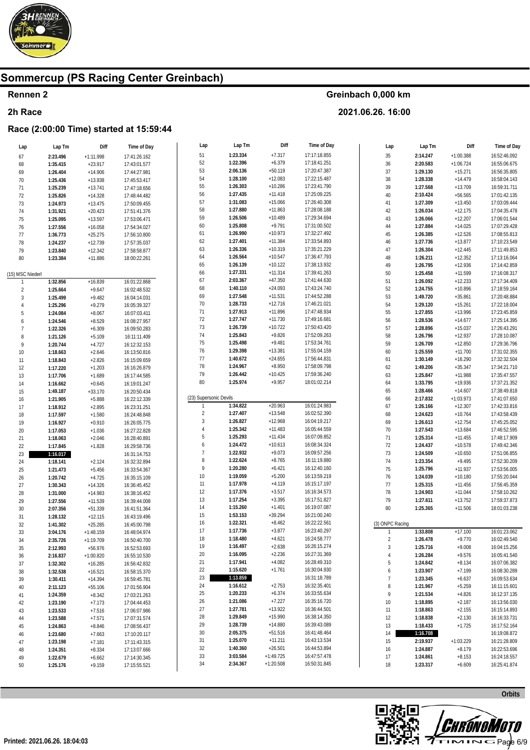

### Rennen 2

#### 2h Race

### Race (2:00:00 Time) started at 15:59:44

| Lap              | Lap Tm   | Diff        | Time of Day  | Lap                    | Lap im   | DIII        | Time of Day  | Lap             | Lap Tm   | Diff        | Time of Day  |
|------------------|----------|-------------|--------------|------------------------|----------|-------------|--------------|-----------------|----------|-------------|--------------|
| 67               | 2:23.496 | $+1:11.998$ | 17:41:26.162 | 51                     | 1:23.334 | $+7.317$    | 17:17:18.855 | 35              | 2:14.247 | $+1:00.388$ | 16:52:46.092 |
| 68               | 1:35.415 | $+23.917$   | 17:43:01.577 | 52                     | 1:22.396 | $+6.379$    | 17:18:41.251 | $36\,$          | 2:20.583 | $+1:06.724$ | 16:55:06.675 |
| 69               | 1:26.404 | $+14.906$   | 17:44:27.981 | 53                     | 2:06.136 | $+50.119$   | 17:20:47.387 | 37              | 1:29.130 | $+15.271$   | 16:56:35.805 |
|                  |          |             |              | 54                     | 1:28.100 | $+12.083$   | 17:22:15.487 | $38\,$          | 1:28.338 | $+14.479$   | 16:58:04.143 |
| $70\,$           | 1:25.436 | $+13.938$   | 17:45:53.417 | 55                     | 1:26.303 | $+10.286$   | 17:23:41.790 |                 |          |             |              |
| 71               | 1:25.239 | $+13.741$   | 17:47:18.656 |                        |          |             |              | 39              | 1:27.568 | $+13.709$   | 16:59:31.711 |
| 72               | 1:25.826 | $+14.328$   | 17:48:44.482 | 56                     | 1:27.435 | $+11.418$   | 17:25:09.225 | 40              | 2:10.424 | $+56.565$   | 17:01:42.135 |
| 73               | 1:24.973 | $+13.475$   | 17:50:09.455 | 57                     | 1:31.083 | $+15.066$   | 17:26:40.308 | 41              | 1:27.309 | $+13.450$   | 17:03:09.444 |
| 74               | 1:31.921 | $+20.423$   | 17:51:41.376 | 58                     | 1:27.880 | $+11.863$   | 17:28:08.188 | 42              | 1:26.034 | $+12.175$   | 17:04:35.478 |
| 75               | 1:25.095 | $+13.597$   | 17:53:06.471 | 59                     | 1:26.506 | $+10.489$   | 17:29:34.694 | 43              | 1:26.066 | $+12.207$   | 17:06:01.544 |
| 76               | 1:27.556 | $+16.058$   | 17:54:34.027 | 60                     | 1:25.808 | $+9.791$    | 17:31:00.502 | 44              | 1:27.884 | $+14.025$   | 17:07:29.428 |
| 77               | 1:36.773 | $+25.275$   | 17:56:10.800 | 61                     | 1:26.990 | $+10.973$   | 17:32:27.492 | 45              | 1:26.385 | $+12.526$   | 17:08:55.813 |
|                  |          |             |              | 62                     | 1:27.401 | $+11.384$   | 17:33:54.893 | $46\,$          | 1:27.736 | $+13.877$   | 17:10:23.549 |
| 78               | 1:24.237 | $+12.739$   | 17:57:35.037 | 63                     | 1:26.336 | $+10.319$   | 17:35:21.229 |                 |          |             |              |
| 79               | 1:23.840 | $+12.342$   | 17:58:58.877 |                        |          |             |              | 47              | 1:26.304 | $+12.445$   | 17:11:49.853 |
| 80               | 1:23.384 | $+11.886$   | 18:00:22.261 | 64                     | 1:26.564 | $+10.547$   | 17:36:47.793 | 48              | 1:26.211 | $+12.352$   | 17:13:16.064 |
|                  |          |             |              | 65                     | 1:26.139 | $+10.122$   | 17:38:13.932 | 49              | 1:26.795 | $+12.936$   | 17:14:42.859 |
| (15) MSC Niederl |          |             |              | 66                     | 1:27.331 | $+11.314$   | 17:39:41.263 | 50              | 1:25.458 | $+11.599$   | 17:16:08.317 |
| $\mathbf{1}$     | 1:32.856 | $+16.839$   | 16:01:22.868 | 67                     | 2:03.367 | $+47.350$   | 17:41:44.630 | 51              | 1:26.092 | $+12.233$   | 17:17:34.409 |
| $\overline{2}$   | 1:25.664 | $+9.647$    | 16:02:48.532 | 68                     | 1:40.110 | $+24.093$   | 17:43:24.740 | 52              | 1:24.755 | $+10.896$   | 17:18:59.164 |
| $\sqrt{3}$       | 1:25.499 | $+9.482$    | 16:04:14.031 | 69                     | 1:27.548 | $+11.531$   | 17:44:52.288 | 53              | 1:49.720 | $+35.861$   | 17:20:48.884 |
| $\overline{4}$   | 1:25.296 | $+9.279$    | 16:05:39.327 | 70                     | 1:28.733 | $+12.716$   | 17:46:21.021 | 54              | 1:29.120 | $+15.261$   | 17:22:18.004 |
| 5                |          | $+8.067$    | 16:07:03.411 | 71                     | 1:27.913 | $+11.896$   | 17:47:48.934 | 55              | 1:27.855 | $+13.996$   | 17:23:45.859 |
|                  | 1:24.084 |             |              | 72                     | 1:27.747 | $+11.730$   | 17:49:16.681 |                 |          | $+14.677$   | 17:25:14.395 |
| 6                | 1:24.546 | $+8.529$    | 16:08:27.957 |                        |          |             |              | 56              | 1:28.536 |             |              |
| $\overline{7}$   | 1:22.326 | $+6.309$    | 16:09:50.283 | 73                     | 1:26.739 | $+10.722$   | 17:50:43.420 | 57              | 1:28.896 | $+15.037$   | 17:26:43.291 |
| 8                | 1:21.126 | $+5.109$    | 16:11:11.409 | 74                     | 1:25.843 | $+9.826$    | 17:52:09.263 | 58              | 1:26.796 | $+12.937$   | 17:28:10.087 |
| 9                | 1:20.744 | $+4.727$    | 16:12:32.153 | 75                     | 1:25.498 | $+9.481$    | 17:53:34.761 | 59              | 1:26.709 | $+12.850$   | 17:29:36.796 |
| $10$             | 1:18.663 | $+2.646$    | 16:13:50.816 | 76                     | 1:29.398 | $+13.381$   | 17:55:04.159 | 60              | 1:25.559 | $+11.700$   | 17:31:02.355 |
| 11               | 1:18.843 | $+2.826$    | 16:15:09.659 | 77                     | 1:40.672 | $+24.655$   | 17:56:44.831 | 61              | 1:30.149 | $+16.290$   | 17:32:32.504 |
| 12               | 1:17.220 | $+1.203$    | 16:16:26.879 | 78                     | 1:24.967 | $+8.950$    | 17:58:09.798 | 62              | 1:49.206 | $+35.347$   | 17:34:21.710 |
| 13               | 1:17.706 | $+1.689$    | 16:17:44.585 | 79                     | 1:26.442 | $+10.425$   | 17:59:36.240 | 63              | 1:25.847 | $+11.988$   | 17:35:47.557 |
| 14               | 1:16.662 | $+0.645$    | 16:19:01.247 | 80                     | 1:25.974 | $+9.957$    | 18:01:02.214 | 64              | 1:33.795 | $+19.936$   | 17:37:21.352 |
|                  |          |             |              |                        |          |             |              | 65              | 1:28.466 | $+14.607$   | 17:38:49.818 |
| 15               | 1:49.187 | $+33.170$   | 16:20:50.434 | (23) Supersonic Devils |          |             |              |                 |          |             |              |
| 16               | 1:21.905 | $+5.888$    | 16:22:12.339 |                        |          |             |              | 66              | 2:17.832 | $+1:03.973$ | 17:41:07.650 |
| 17               | 1:18.912 | $+2.895$    | 16:23:31.251 |                        | 1:34.822 | $+20.963$   | 16:01:24.983 | 67              | 1:26.166 | $+12.307$   | 17:42:33.816 |
| 18               | 1:17.597 | $+1.580$    | 16:24:48.848 | $\overline{2}$         | 1:27.407 | $+13.548$   | 16:02:52.390 | 68              | 1:24.623 | $+10.764$   | 17:43:58.439 |
| 19               | 1:16.927 | $+0.910$    | 16:26:05.775 | 3                      | 1:26.827 | $+12.968$   | 16:04:19.217 | 69              | 1:26.613 | $+12.754$   | 17:45:25.052 |
| $20\,$           | 1:17.053 | $+1.036$    | 16:27:22.828 |                        | 1:25.342 | $+11.483$   | 16:05:44.559 | 70              | 1:27.543 | $+13.684$   | 17:46:52.595 |
| 21               | 1:18.063 | $+2.046$    | 16:28:40.891 | 5                      | 1:25.293 | $+11.434$   | 16:07:09.852 | 71              | 1:25.314 | $+11.455$   | 17:48:17.909 |
| 22               | 1:17.845 | $+1.828$    | 16:29:58.736 | 6                      | 1:24.472 | $+10.613$   | 16:08:34.324 | 72              | 1:24.437 | $+10.578$   | 17:49:42.346 |
| 23               | 1:16.017 |             | 16:31:14.753 | $\overline{7}$         | 1:22.932 | $+9.073$    | 16:09:57.256 | 73              | 1:24.509 | $+10.650$   | 17:51:06.855 |
|                  |          |             |              | 8                      | 1:22.624 | $+8.765$    | 16:11:19.880 | 74              | 1:23.354 | $+9.495$    | 17:52:30.209 |
| 24               | 1:18.141 | $+2.124$    | 16:32:32.894 | 9                      | 1:20.280 | $+6.421$    | 16:12:40.160 |                 |          |             | 17:53:56.005 |
| 25               | 1:21.473 | $+5.456$    | 16:33:54.367 |                        | 1:19.059 |             |              | 75              | 1:25.796 | $+11.937$   |              |
| 26               | 1:20.742 | $+4.725$    | 16:35:15.109 | $10$                   |          | $+5.200$    | 16:13:59.219 | 76              | 1:24.039 | $+10.180$   | 17:55:20.044 |
| 27               | 1:30.343 | $+14.326$   | 16:36:45.452 | 11                     | 1:17.978 | $+4.119$    | 16:15:17.197 | $77$            | 1:25.315 | $+11.456$   | 17:56:45.359 |
| 28               | 1:31.000 | $+14.983$   | 16:38:16.452 | 12                     | 1:17.376 | $+3.517$    | 16:16:34.573 | 78              | 1:24.903 | $+11.044$   | 17:58:10.262 |
| 29               | 1:27.556 | $+11.539$   | 16:39:44.008 | 13                     | 1:17.254 | $+3.395$    | 16:17:51.827 | 79              | 1:27.611 | $+13.752$   | 17:59:37.873 |
| $30\,$           | 2:07.356 | $+51.339$   | 16:41:51.364 | 14                     | 1:15.260 | $+1.401$    | 16:19:07.087 | 80              | 1:25.365 | $+11.506$   | 18:01:03.238 |
| 31               | 1:28.132 | $+12.115$   | 16:43:19.496 | 15                     | 1:53.153 | $+39.294$   | 16:21:00.240 |                 |          |             |              |
| 32               | 1:41.302 | $+25.285$   | 16:45:00.798 | 16                     | 1:22.321 | $+8.462$    | 16:22:22.561 | (3) ONPC Racing |          |             |              |
| 33               | 3:04.176 | $+1:48.159$ | 16:48:04.974 | 17                     | 1:17.736 | $+3.877$    | 16:23:40.297 |                 | 1:33.808 | $+17.100$   | 16:01:23.062 |
|                  |          |             |              | 18                     | 1:18.480 | $+4.621$    | 16:24:58.777 | $\sqrt{2}$      | 1:26.478 | $+9.770$    | 16:02:49.540 |
| 34               | 2:35.726 | $+1:19.709$ | 16:50:40.700 |                        |          |             |              |                 |          |             |              |
| 35               | 2:12.993 | $+56.976$   | 16:52:53.693 | 19                     | 1:16.497 | $+2.638$    | 16:26:15.274 | $\sqrt{3}$      | 1:25.716 | $+9.008$    | 16:04:15.256 |
| 36               | 2:16.837 | $+1:00.820$ | 16:55:10.530 | 20                     | 1:16.095 | $+2.236$    | 16:27:31.369 | $\overline{4}$  | 1:26.284 | $+9.576$    | 16:05:41.540 |
| 37               | 1:32.302 | $+16.285$   | 16:56:42.832 | 21                     | 1:17.941 | $+4.082$    | 16:28:49.310 | 5               | 1:24.842 | $+8.134$    | 16:07:06.382 |
| 38               | 1:32.538 | $+16.521$   | 16:58:15.370 | 22                     | 1:15.620 | $+1.761$    | 16:30:04.930 | 6               | 1:23.907 | $+7.199$    | 16:08:30.289 |
| 39               | 1:30.411 | $+14.394$   | 16:59:45.781 | 23                     | 1:13.859 |             | 16:31:18.789 | $\overline{7}$  | 1:23.345 | $+6.637$    | 16:09:53.634 |
| 40               | 2:11.123 | $+55.106$   | 17:01:56.904 | 24                     | 1:16.612 | $+2.753$    | 16:32:35.401 | $\, 8$          | 1:21.967 | $+5.259$    | 16:11:15.601 |
| 41               | 1:24.359 | $+8.342$    | 17:03:21.263 | 25                     | 1:20.233 | $+6.374$    | 16:33:55.634 | 9               | 1:21.534 | $+4.826$    | 16:12:37.135 |
| 42               | 1:23.190 | $+7.173$    | 17:04:44.453 | 26                     | 1:21.086 | $+7.227$    | 16:35:16.720 | 10              | 1:18.895 | $+2.187$    | 16:13:56.030 |
|                  |          |             |              | 27                     | 1:27.781 | $+13.922$   | 16:36:44.501 | 11              | 1:18.863 | $+2.155$    | 16:15:14.893 |
| 43               | 1:23.533 | $+7.516$    | 17:06:07.986 |                        | 1:29.849 | $+15.990$   | 16:38:14.350 |                 |          |             |              |
| 44               | 1:23.588 | $+7.571$    | 17:07:31.574 | 28                     |          |             |              | 12              | 1:18.838 | $+2.130$    | 16:16:33.731 |
| 45               | 1:24.863 | $+8.846$    | 17:08:56.437 | 29                     | 1:28.739 | $+14.880$   | 16:39:43.089 | 13              | 1:18.433 | $+1.725$    | 16:17:52.164 |
| 46               | 1:23.680 | $+7.663$    | 17:10:20.117 | 30                     | 2:05.375 | $+51.516$   | 16:41:48.464 | 14              | 1:16.708 |             | 16:19:08.872 |
| 47               | 1:23.198 | $+7.181$    | 17:11:43.315 | 31                     | 1:25.070 | $+11.211$   | 16:43:13.534 | 15              | 2:19.937 | $+1:03.229$ | 16:21:28.809 |
| 48               | 1:24.351 | $+8.334$    | 17:13:07.666 | 32                     | 1:40.360 | $+26.501$   | 16:44:53.894 | 16              | 1:24.887 | $+8.179$    | 16:22:53.696 |
| 49               | 1:22.679 | $+6.662$    | 17:14:30.345 | 33                     | 3:03.584 | $+1:49.725$ | 16:47:57.478 | 17              | 1:24.861 | $+8.153$    | 16:24:18.557 |
| 50               | 1:25.176 | $+9.159$    | 17:15:55.521 | 34                     | 2:34.367 | $+1:20.508$ | 16:50:31.845 | 18              | 1:23.317 | $+6.609$    | 16:25:41.874 |
|                  |          |             |              |                        |          |             |              |                 |          |             |              |

Greinbach 0,000 km

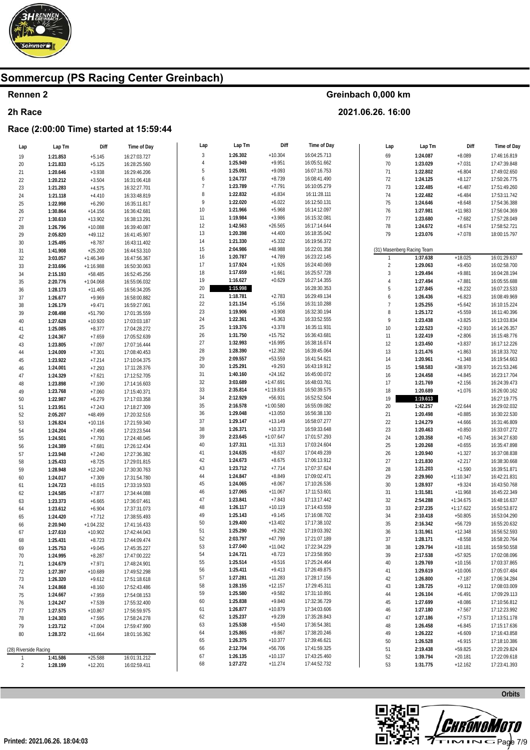

### Rennen 2

#### 2h Race

### Race (2:00:00 Time) started at 15:59:44

| Lap                   | Lap Tm   | Diff        | Time of Day  | Lap            | Lap Tm   | Diff                  | Time of Day  | Lap                 | Lap Tm                     | Diff        | Time of Day  |
|-----------------------|----------|-------------|--------------|----------------|----------|-----------------------|--------------|---------------------|----------------------------|-------------|--------------|
| 19                    | 1:21.853 | $+5.145$    | 16:27:03.727 | $\mathbf{3}$   | 1:26.302 | $+10.304$             | 16:04:25.713 | 69                  | 1:24.087                   | $+8.089$    | 17:46:16.819 |
| $20\,$                | 1:21.833 | $+5.125$    | 16:28:25.560 | $\overline{4}$ | 1:25.949 | $+9.951$              | 16:05:51.662 | $70$                | 1:23.029                   | $+7.031$    | 17:47:39.848 |
| 21                    | 1:20.646 | $+3.938$    | 16:29:46.206 | 5              | 1:25.091 | $+9.093$              | 16:07:16.753 | 71                  | 1:22.802                   | $+6.804$    | 17:49:02.650 |
| 22                    | 1:20.212 | $+3.504$    | 16:31:06.418 | 6              | 1:24.737 | $+8.739$              | 16:08:41.490 | 72                  | 1:24.125                   | $+8.127$    | 17:50:26.775 |
| 23                    | 1:21.283 | $+4.575$    | 16:32:27.701 | $\overline{7}$ | 1:23.789 | $+7.791$              | 16:10:05.279 | 73                  | 1:22.485                   | $+6.487$    | 17:51:49.260 |
| 24                    | 1:21.118 | $+4.410$    | 16:33:48.819 | 8              | 1:22.832 | $+6.834$              | 16:11:28.111 | 74                  | 1:22.482                   | $+6.484$    | 17:53:11.742 |
| 25                    | 1:22.998 | $+6.290$    | 16:35:11.817 | 9              | 1:22.020 | $+6.022$              | 16:12:50.131 | 75                  | 1:24.646                   | $+8.648$    | 17:54:36.388 |
| $26\,$                | 1:30.864 | $+14.156$   | 16:36:42.681 | $10$           | 1:21.966 | $+5.968$              | 16:14:12.097 | 76                  | 1:27.981                   | $+11.983$   | 17:56:04.369 |
|                       |          |             |              | 11             | 1:19.984 | $+3.986$              | 16:15:32.081 | 77                  | 1:23.680                   | $+7.682$    | 17:57:28.049 |
| 27                    | 1:30.610 | $+13.902$   | 16:38:13.291 | 12             | 1:42.563 | $+26.565$             | 16:17:14.644 | 78                  | 1:24.672                   | $+8.674$    | 17:58:52.721 |
| 28                    | 1:26.796 | $+10.088$   | 16:39:40.087 | 13             | 1:20.398 | $+4.400$              | 16:18:35.042 | 79                  | 1:23.076                   | $+7.078$    | 18:00:15.797 |
| 29                    | 2:05.820 | $+49.112$   | 16:41:45.907 | 14             | 1:21.330 | $+5.332$              | 16:19:56.372 |                     |                            |             |              |
| $30\,$                | 1:25.495 | $+8.787$    | 16:43:11.402 | 15             | 2:04.986 | +48.988               |              |                     |                            |             |              |
| 31                    | 1:41.908 | $+25.200$   | 16:44:53.310 |                |          |                       | 16:22:01.358 |                     | (31) Masenberg Racing Team |             |              |
| 32                    | 3:03.057 | $+1:46.349$ | 16:47:56.367 | 16             | 1:20.787 | $+4.789$              | 16:23:22.145 | $\mathbf{1}$        | 1:37.638                   | $+18.025$   | 16:01:29.637 |
| 33                    | 2:33.696 | $+1:16.988$ | 16:50:30.063 | 17             | 1:17.924 | $+1.926$              | 16:24:40.069 | $\sqrt{2}$          | 1:29.063                   | $+9.450$    | 16:02:58.700 |
| 34                    | 2:15.193 | $+58.485$   | 16:52:45.256 | 18             | 1:17.659 | $+1.661$              | 16:25:57.728 | $\sqrt{3}$          | 1:29.494                   | $+9.881$    | 16:04:28.194 |
| $35\,$                | 2:20.776 | $+1:04.068$ | 16:55:06.032 | 19             | 1:16.627 | $+0.629$              | 16:27:14.355 | $\overline{4}$      | 1:27.494                   | $+7.881$    | 16:05:55.688 |
| 36                    | 1:28.173 | $+11.465$   | 16:56:34.205 | 20             | 1:15.998 |                       | 16:28:30.353 | 5                   | 1:27.845                   | $+8.232$    | 16:07:23.533 |
| 37                    | 1:26.677 | $+9.969$    | 16:58:00.882 | 21             | 1:18.781 | $+2.783$              | 16:29:49.134 | $\ddot{\mathbf{6}}$ | 1:26.436                   | $+6.823$    | 16:08:49.969 |
| $38\,$                | 1:26.179 | $+9.471$    | 16:59:27.061 | 22             | 1:21.154 | $+5.156$              | 16:31:10.288 | $\overline{7}$      | 1:25.255                   | $+5.642$    | 16:10:15.224 |
| 39                    | 2:08.498 | $+51.790$   | 17:01:35.559 | 23             | 1:19.906 | $+3.908$              | 16:32:30.194 | $\, 8$              | 1:25.172                   | $+5.559$    | 16:11:40.396 |
| $40\,$                | 1:27.628 | $+10.920$   | 17:03:03.187 | 24             | 1:22.361 | $+6.363$              | 16:33:52.555 | 9                   | 1:23.438                   | $+3.825$    | 16:13:03.834 |
| 41                    | 1:25.085 | $+8.377$    | 17:04:28.272 | 25             | 1:19.376 | $+3.378$              | 16:35:11.931 | 10                  | 1:22.523                   | $+2.910$    | 16:14:26.357 |
| 42                    | 1:24.367 | $+7.659$    | 17:05:52.639 | 26             | 1:31.750 | $+15.752$             | 16:36:43.681 | 11                  | 1:22.419                   | $+2.806$    | 16:15:48.776 |
| 43                    | 1:23.805 | $+7.097$    | 17:07:16.444 | 27             | 1:32.993 | $+16.995$             | 16:38:16.674 | 12                  | 1:23.450                   | $+3.837$    | 16:17:12.226 |
| 44                    | 1:24.009 | $+7.301$    | 17:08:40.453 | 28             | 1:28.390 | $+12.392$             | 16:39:45.064 | 13                  | 1:21.476                   | $+1.863$    | 16:18:33.702 |
| 45                    | 1:23.922 | $+7.214$    | 17:10:04.375 | 29             | 2:09.557 | $+53.559$             | 16:41:54.621 | 14                  | 1:20.961                   | $+1.348$    | 16:19:54.663 |
| $46\,$                | 1:24.001 | $+7.293$    | 17:11:28.376 | $30\,$         | 1:25.291 | $+9.293$              | 16:43:19.912 | 15                  | 1:58.583                   | $+38.970$   | 16:21:53.246 |
| 47                    | 1:24.329 | $+7.621$    | 17:12:52.705 | 31             | 1:40.160 | $+24.162$             | 16:45:00.072 | 16                  | 1:24.458                   | $+4.845$    | 16:23:17.704 |
| 48                    | 1:23.898 | $+7.190$    | 17:14:16.603 | 32             | 3:03.689 | $+1:47.691$           | 16:48:03.761 | 17                  | 1:21.769                   | $+2.156$    | 16:24:39.473 |
| 49                    | 1:23.768 | $+7.060$    | 17:15:40.371 | 33             | 2:35.814 | $+1:19.816$           | 16:50:39.575 | 18                  | 1:20.689                   | $+1.076$    | 16:26:00.162 |
| 50                    | 1:22.987 | $+6.279$    | 17:17:03.358 | 34             | 2:12.929 | $+56.931$             | 16:52:52.504 | 19                  | 1:19.613                   |             | 16:27:19.775 |
| 51                    | 1:23.951 | $+7.243$    | 17:18:27.309 | 35             | 2:16.578 | $+1:00.580$           | 16:55:09.082 | $20\,$              | 1:42.257                   | $+22.644$   | 16:29:02.032 |
| 52                    | 2:05.207 | $+48.499$   | 17:20:32.516 | 36             | 1:29.048 | $+13.050$             | 16:56:38.130 | 21                  | 1:20.498                   | $+0.885$    | 16:30:22.530 |
| 53                    | 1:26.824 | $+10.116$   | 17:21:59.340 | 37             | 1:29.147 | $+13.149$             | 16:58:07.277 | $22\,$              | 1:24.279                   | $+4.666$    | 16:31:46.809 |
| 54                    | 1:24.204 | $+7.496$    | 17:23:23.544 | 38             | 1:26.371 | $+10.373$             | 16:59:33.648 | 23                  | 1:20.463                   | $+0.850$    | 16:33:07.272 |
| 55                    | 1:24.501 | $+7.793$    | 17:24:48.045 | 39             | 2:23.645 | $+1:07.647$           | 17:01:57.293 | 24                  | 1:20.358                   | $+0.745$    | 16:34:27.630 |
|                       | 1:24.389 | $+7.681$    | 17:26:12.434 | 40             | 1:27.311 | $+11.313$             | 17:03:24.604 | 25                  | 1:20.268                   | $+0.655$    | 16:35:47.898 |
| 56<br>57              |          |             | 17:27:36.382 | 41             | 1:24.635 | $+8.637$              | 17:04:49.239 | 26                  | 1:20.940                   | $+1.327$    | 16:37:08.838 |
|                       | 1:23.948 | $+7.240$    |              | 42             | 1:24.673 | $+8.675$              | 17:06:13.912 | 27                  | 1:21.830                   | $+2.217$    | 16:38:30.668 |
| 58                    | 1:25.433 | $+8.725$    | 17:29:01.815 | 43             | 1:23.712 | $+7.714$              | 17:07:37.624 | 28                  | 1:21.203                   | $+1.590$    | 16:39:51.871 |
| 59                    | 1:28.948 | $+12.240$   | 17:30:30.763 | 44             | 1:24.847 | $+8.849$              | 17:09:02.471 | 29                  |                            |             |              |
| 60                    | 1:24.017 | $+7.309$    | 17:31:54.780 | 45             | 1:24.065 | $+8.067$              | 17:10:26.536 | 30                  | 2:29.960                   | $+1:10.347$ | 16:42:21.831 |
| 61                    | 1:24.723 | $+8.015$    | 17:33:19.503 |                | 1:27.065 |                       |              |                     | 1:28.937                   | $+9.324$    | 16:43:50.768 |
| 62                    | 1:24.585 | $+7.877$    | 17:34:44.088 | 46             | 1:23.841 | $+11.067$<br>$+7.843$ | 17:11:53.601 | 31                  | 1:31.581                   | $+11.968$   | 16:45:22.349 |
| 63                    | 1:23.373 | $+6.665$    | 17:36:07.461 | 47             |          |                       | 17:13:17.442 | 32                  | 2:54.288                   | $+1:34.675$ | 16:48:16.637 |
| 64                    | 1:23.612 | $+6.904$    | 17:37:31.073 | 48             | 1:26.117 | $+10.119$             | 17:14:43.559 | 33                  | 2:37.235                   | $+1:17.622$ | 16:50:53.872 |
| 65                    | 1:24.420 | $+7.712$    | 17:38:55.493 | 49             | 1:25.143 | $+9.145$              | 17:16:08.702 | 34                  | 2:10.418                   | $+50.805$   | 16:53:04.290 |
| 66                    | 2:20.940 | $+1:04.232$ | 17:41:16.433 | 50             | 1:29.400 | $+13.402$             | 17:17:38.102 | 35                  | 2:16.342                   | $+56.729$   | 16:55:20.632 |
| 67                    | 1:27.610 | $+10.902$   | 17:42:44.043 | 51             | 1:25.290 | $+9.292$              | 17:19:03.392 | 36                  | 1:31.961                   | $+12.348$   | 16:56:52.593 |
| 68                    | 1:25.431 | $+8.723$    | 17:44:09.474 | 52             | 2:03.797 | $+47.799$             | 17:21:07.189 | 37                  | 1:28.171                   | $+8.558$    | 16:58:20.764 |
| 69                    | 1:25.753 | $+9.045$    | 17:45:35.227 | 53             | 1:27.040 | $+11.042$             | 17:22:34.229 | 38                  | 1:29.794                   | $+10.181$   | 16:59:50.558 |
| 70                    | 1:24.995 | $+8.287$    | 17:47:00.222 | 54             | 1:24.721 | $+8.723$              | 17:23:58.950 | 39                  | 2:17.538                   | $+57.925$   | 17:02:08.096 |
| 71                    | 1:24.679 | $+7.971$    | 17:48:24.901 | 55             | 1:25.514 | $+9.516$              | 17:25:24.464 | 40                  | 1:29.769                   | $+10.156$   | 17:03:37.865 |
| 72                    | 1:27.397 | $+10.689$   | 17:49:52.298 | 56             | 1:25.411 | $+9.413$              | 17:26:49.875 | 41                  | 1:29.619                   | $+10.006$   | 17:05:07.484 |
| 73                    | 1:26.320 | $+9.612$    | 17:51:18.618 | 57             | 1:27.281 | $+11.283$             | 17:28:17.156 | 42                  | 1:26.800                   | $+7.187$    | 17:06:34.284 |
| 74                    | 1:24.868 | $+8.160$    | 17:52:43.486 | 58             | 1:28.155 | $+12.157$             | 17:29:45.311 | 43                  | 1:28.725                   | $+9.112$    | 17:08:03.009 |
| 75                    | 1:24.667 | $+7.959$    | 17:54:08.153 | 59             | 1:25.580 | $+9.582$              | 17:31:10.891 | 44                  | 1:26.104                   | $+6.491$    | 17:09:29.113 |
| 76                    | 1:24.247 | $+7.539$    | 17:55:32.400 | 60             | 1:25.838 | $+9.840$              | 17:32:36.729 | 45                  | 1:27.699                   | $+8.086$    | 17:10:56.812 |
| 77                    | 1:27.575 | $+10.867$   | 17:56:59.975 | 61             | 1:26.877 | $+10.879$             | 17:34:03.606 | 46                  | 1:27.180                   | $+7.567$    | 17:12:23.992 |
| 78                    | 1:24.303 | $+7.595$    | 17:58:24.278 | 62             | 1:25.237 | $+9.239$              | 17:35:28.843 | 47                  | 1:27.186                   | $+7.573$    | 17:13:51.178 |
| 79                    | 1:23.712 | $+7.004$    | 17:59:47.990 | 63             | 1:25.538 | $+9.540$              | 17:36:54.381 | 48                  | 1:26.458                   | $+6.845$    | 17:15:17.636 |
| 80                    | 1:28.372 | $+11.664$   | 18:01:16.362 | 64             | 1:25.865 | $+9.867$              | 17:38:20.246 | 49                  | 1:26.222                   | $+6.609$    | 17:16:43.858 |
|                       |          |             |              | 65             | 1:26.375 | $+10.377$             | 17:39:46.621 | 50                  | 1:26.528                   | $+6.915$    | 17:18:10.386 |
| (28) Riverside Racing |          |             |              | 66             | 2:12.704 | $+56.706$             | 17:41:59.325 | 51                  | 2:19.438                   | $+59.825$   | 17:20:29.824 |
| 1                     | 1:41.586 | $+25.588$   | 16:01:31.212 | 67             | 1:26.135 | $+10.137$             | 17:43:25.460 | 52                  | 1:39.794                   | $+20.181$   | 17:22:09.618 |
| $\overline{c}$        | 1:28.199 | $+12.201$   | 16:02:59.411 | 68             | 1:27.272 | $+11.274$             | 17:44:52.732 | 53                  | 1:31.775                   | $+12.162$   | 17:23:41.393 |
|                       |          |             |              |                |          |                       |              |                     |                            |             |              |

Greinbach 0,000 km 2021.06.26. 16:00

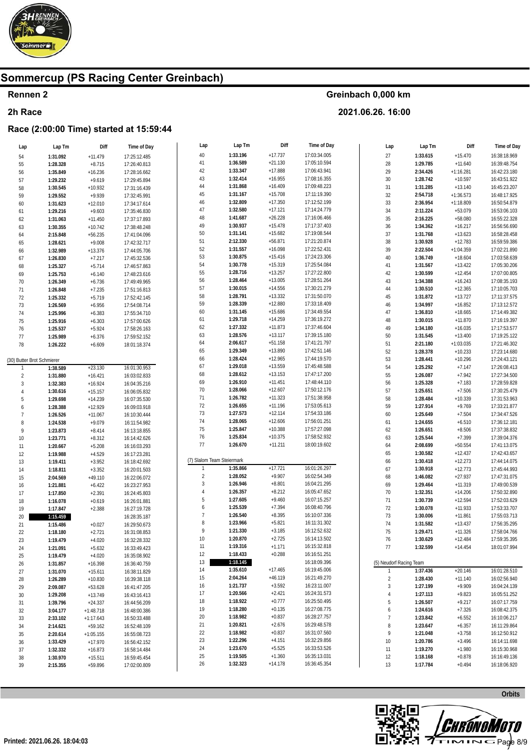

### **Rennen 2**

#### **2h Race**

### **Race (2:00:00 Time) started at 15:59:44**

| Lap                        | Lap Tm   | Diff        | Time of Day  | Lap                        | Lap Tm   | Diff      | Time of Day  | Lap                     | Lap Tm   | Diff        | Time of Day  |
|----------------------------|----------|-------------|--------------|----------------------------|----------|-----------|--------------|-------------------------|----------|-------------|--------------|
| 54                         | 1:31.092 | $+11.479$   | 17:25:12.485 | 40                         | 1:33.196 | $+17.737$ | 17:03:34.005 | $27\,$                  | 1:33.615 | $+15.470$   | 16:38:18.969 |
| 55                         | 1:28.328 | $+8.715$    | 17:26:40.813 | 41                         | 1:36.589 | $+21.130$ | 17:05:10.594 | 28                      | 1:29.785 | $+11.640$   | 16:39:48.754 |
| 56                         | 1:35.849 | $+16.236$   | 17:28:16.662 | 42                         | 1:33.347 | $+17.888$ | 17:06:43.941 | 29                      | 2:34.426 | $+1:16.281$ | 16:42:23.180 |
| 57                         | 1:29.232 | $+9.619$    | 17:29:45.894 | 43                         | 1:32.414 | $+16.955$ | 17:08:16.355 | $30\,$                  | 1:28.742 | $+10.597$   | 16:43:51.922 |
| 58                         | 1:30.545 | $+10.932$   | 17:31:16.439 | 44                         | 1:31.868 | $+16.409$ | 17:09:48.223 | 31                      | 1:31.285 | $+13.140$   | 16:45:23.207 |
| 59                         | 1:29.552 | $+9.939$    | 17:32:45.991 | 45                         | 1:31.167 | $+15.708$ | 17:11:19.390 | 32                      | 2:54.718 | $+1:36.573$ | 16:48:17.925 |
|                            |          |             |              | 46                         | 1:32.809 | $+17.350$ | 17:12:52.199 | 33                      | 2:36.954 | $+1:18.809$ | 16:50:54.879 |
| 60                         | 1:31.623 | $+12.010$   | 17:34:17.614 | 47                         | 1:32.580 | $+17.121$ | 17:14:24.779 |                         |          |             |              |
| 61                         | 1:29.216 | $+9.603$    | 17:35:46.830 | 48                         | 1:41.687 | $+26.228$ | 17:16:06.466 | $34\,$                  | 2:11.224 | $+53.079$   | 16:53:06.103 |
| 62                         | 1:31.063 | $+11.450$   | 17:37:17.893 |                            |          |           |              | $35\,$                  | 2:16.225 | $+58.080$   | 16:55:22.328 |
| 63                         | 1:30.355 | $+10.742$   | 17:38:48.248 | 49                         | 1:30.937 | $+15.478$ | 17:17:37.403 | $36\,$                  | 1:34.362 | $+16.217$   | 16:56:56.690 |
| 64                         | 2:15.848 | $+56.235$   | 17:41:04.096 | 50                         | 1:31.141 | $+15.682$ | 17:19:08.544 | 37                      | 1:31.768 | $+13.623$   | 16:58:28.458 |
| 65                         | 1:28.621 | $+9.008$    | 17:42:32.717 | 51                         | 2:12.330 | $+56.871$ | 17:21:20.874 | $38\,$                  | 1:30.928 | $+12.783$   | 16:59:59.386 |
| 66                         | 1:32.989 | $+13.376$   | 17:44:05.706 | 52                         | 1:31.557 | $+16.098$ | 17:22:52.431 | 39                      | 2:22.504 | $+1:04.359$ | 17:02:21.890 |
| 67                         | 1:26.830 | $+7.217$    | 17:45:32.536 | 53                         | 1:30.875 | $+15.416$ | 17:24:23.306 | 40                      | 1:36.749 | $+18.604$   | 17:03:58.639 |
| 68                         | 1:25.327 | $+5.714$    | 17:46:57.863 | 54                         | 1:30.778 | $+15.319$ | 17:25:54.084 | 41                      | 1:31.567 | $+13.422$   | 17:05:30.206 |
| 69                         | 1:25.753 | $+6.140$    | 17:48:23.616 | 55                         | 1:28.716 | $+13.257$ | 17:27:22.800 | 42                      | 1:30.599 | $+12.454$   | 17:07:00.805 |
| 70                         | 1:26.349 | $+6.736$    | 17:49:49.965 | 56                         | 1:28.464 | $+13.005$ | 17:28:51.264 | 43                      | 1:34.388 | $+16.243$   | 17:08:35.193 |
| 71                         | 1:26.848 | $+7.235$    | 17:51:16.813 | 57                         | 1:30.015 | $+14.556$ | 17:30:21.279 | $44\,$                  | 1:30.510 | $+12.365$   | 17:10:05.703 |
| 72                         | 1:25.332 | $+5.719$    | 17:52:42.145 | 58                         | 1:28.791 | $+13.332$ | 17:31:50.070 | 45                      | 1:31.872 | $+13.727$   | 17:11:37.575 |
| 73                         | 1:26.569 | $+6.956$    | 17:54:08.714 | 59                         | 1:28.339 | $+12.880$ | 17:33:18.409 | $46\,$                  | 1:34.997 | $+16.852$   | 17:13:12.572 |
| 74                         | 1:25.996 | $+6.383$    | 17:55:34.710 | 60                         | 1:31.145 | $+15.686$ | 17:34:49.554 | 47                      | 1:36.810 | $+18.665$   | 17:14:49.382 |
| 75                         | 1:25.916 | $+6.303$    | 17:57:00.626 | 61                         | 1:29.718 | $+14.259$ | 17:36:19.272 | $48\,$                  | 1:30.015 | $+11.870$   | 17:16:19.397 |
| 76                         | 1:25.537 | $+5.924$    |              | 62                         | 1:27.332 | $+11.873$ | 17:37:46.604 | 49                      | 1:34.180 | $+16.035$   | 17:17:53.577 |
|                            |          |             | 17:58:26.163 | 63                         | 1:28.576 | $+13.117$ | 17:39:15.180 | 50                      | 1:31.545 | $+13.400$   | 17:19:25.122 |
| 77                         | 1:25.989 | $+6.376$    | 17:59:52.152 | 64                         | 2:06.617 | $+51.158$ | 17:41:21.797 | 51                      | 2:21.180 | $+1:03.035$ | 17:21:46.302 |
| 78                         | 1:26.222 | $+6.609$    | 18:01:18.374 | 65                         | 1:29.349 | $+13.890$ | 17:42:51.146 | 52                      |          |             |              |
|                            |          |             |              | 66                         | 1:28.424 | $+12.965$ | 17:44:19.570 |                         | 1:28.378 | $+10.233$   | 17:23:14.680 |
| (30) Butter Brot Schmierer |          |             |              | 67                         | 1:29.018 |           |              | 53                      | 1:28.441 | $+10.296$   | 17:24:43.121 |
| -1                         | 1:38.589 | $+23.130$   | 16:01:30.953 |                            |          | $+13.559$ | 17:45:48.588 | 54                      | 1:25.292 | $+7.147$    | 17:26:08.413 |
| $\overline{2}$             | 1:31.880 | $+16.421$   | 16:03:02.833 | 68                         | 1:28.612 | $+13.153$ | 17:47:17.200 | 55                      | 1:26.087 | $+7.942$    | 17:27:34.500 |
| $\sqrt{3}$                 | 1:32.383 | $+16.924$   | 16:04:35.216 | 69                         | 1:26.910 | $+11.451$ | 17:48:44.110 | 56                      | 1:25.328 | $+7.183$    | 17:28:59.828 |
| 4                          | 1:30.616 | $+15.157$   | 16:06:05.832 | 70                         | 1:28.066 | $+12.607$ | 17:50:12.176 | 57                      | 1:25.651 | $+7.506$    | 17:30:25.479 |
| 5                          | 1:29.698 | $+14.239$   | 16:07:35.530 | 71                         | 1:26.782 | $+11.323$ | 17:51:38.958 | 58                      | 1:28.484 | $+10.339$   | 17:31:53.963 |
| 6                          | 1:28.388 | $+12.929$   | 16:09:03.918 | 72                         | 1:26.655 | $+11.196$ | 17:53:05.613 | 59                      | 1:27.914 | $+9.769$    | 17:33:21.877 |
| $\overline{7}$             | 1:26.526 | $+11.067$   | 16:10:30.444 | 73                         | 1:27.573 | $+12.114$ | 17:54:33.186 | 60                      | 1:25.649 | $+7.504$    | 17:34:47.526 |
| 8                          | 1:24.538 | $+9.079$    | 16:11:54.982 | 74                         | 1:28.065 | $+12.606$ | 17:56:01.251 | 61                      | 1:24.655 | $+6.510$    | 17:36:12.181 |
| 9                          | 1:23.873 | $+8.414$    | 16:13:18.855 | 75                         | 1:25.847 | $+10.388$ | 17:57:27.098 | 62                      | 1:26.651 | $+8.506$    | 17:37:38.832 |
| 10                         | 1:23.771 | $+8.312$    | 16:14:42.626 | 76                         | 1:25.834 | $+10.375$ | 17:58:52.932 | 63                      | 1:25.544 | $+7.399$    | 17:39:04.376 |
| 11                         | 1:20.667 | $+5.208$    | 16:16:03.293 | 77                         | 1:26.670 | $+11.211$ | 18:00:19.602 | 64                      | 2:08.699 | $+50.554$   | 17:41:13.075 |
| 12                         | 1:19.988 | $+4.529$    | 16:17:23.281 |                            |          |           |              | 65                      | 1:30.582 | $+12.437$   | 17:42:43.657 |
| 13                         | 1:19.411 | $+3.952$    | 16:18:42.692 | (7) Slalom Team Steiermark |          |           |              | 66                      | 1:30.418 | $+12.273$   | 17:44:14.075 |
| 14                         | 1:18.811 | $+3.352$    | 16:20:01.503 |                            | 1:35.866 | $+17.721$ | 16:01:26.297 | 67                      | 1:30.918 | $+12.773$   | 17:45:44.993 |
| 15                         | 2:04.569 | $+49.110$   | 16:22:06.072 | $\overline{2}$             | 1:28.052 | $+9.907$  | 16:02:54.349 | 68                      | 1:46.082 | $+27.937$   | 17:47:31.075 |
| 16                         | 1:21.881 | $+6.422$    | 16:23:27.953 | 3                          | 1:26.946 | $+8.801$  | 16:04:21.295 | 69                      | 1:29.464 | $+11.319$   | 17:49:00.539 |
| 17                         | 1:17.850 | $+2.391$    | 16:24:45.803 | 4                          | 1:26.357 | $+8.212$  | 16:05:47.652 | $70$                    | 1:32.351 | $+14.206$   | 17:50:32.890 |
| 18                         | 1:16.078 | $+0.619$    | 16:26:01.881 | 5                          | 1:27.605 | $+9.460$  | 16:07:15.257 | 71                      | 1:30.739 | $+12.594$   | 17:52:03.629 |
| 19                         | 1:17.847 | $+2.388$    | 16:27:19.728 | 6                          | 1:25.539 | $+7.394$  | 16:08:40.796 | $72\,$                  | 1:30.078 | $+11.933$   | 17:53:33.707 |
| 20                         | 1:15.459 |             | 16:28:35.187 | $\overline{7}$             | 1:26.540 | $+8.395$  | 16:10:07.336 | $73\,$                  | 1:30.006 | $+11.861$   | 17:55:03.713 |
|                            |          |             |              | 8                          | 1:23.966 | $+5.821$  | 16:11:31.302 | 74                      | 1:31.582 | $+13.437$   | 17:56:35.295 |
| 21                         | 1:15.486 | $+0.027$    | 16:29:50.673 | 9                          | 1:21.330 | $+3.185$  | 16:12:52.632 | 75                      | 1:29.471 | $+11.326$   | 17:58:04.766 |
| 22                         | 1:18.180 | $+2.721$    | 16:31:08.853 | 10                         | 1:20.870 | $+2.725$  | 16:14:13.502 | 76                      |          |             | 17:59:35.395 |
| 23                         | 1:19.479 | $+4.020$    | 16:32:28.332 |                            |          |           |              |                         | 1:30.629 | $+12.484$   |              |
| 24                         | 1:21.091 | $+5.632$    | 16:33:49.423 | 11                         | 1:19.316 | $+1.171$  | 16:15:32.818 | 77                      | 1:32.599 | $+14.454$   | 18:01:07.994 |
| 25                         | 1:19.479 | $+4.020$    | 16:35:08.902 | 12                         | 1:18.433 | $+0.288$  | 16:16:51.251 |                         |          |             |              |
| 26                         | 1:31.857 | $+16.398$   | 16:36:40.759 | 13                         | 1:18.145 |           | 16:18:09.396 | (5) Neudorf Racing Team |          |             |              |
| 27                         | 1:31.070 | $+15.611$   | 16:38:11.829 | 14                         | 1:35.610 | $+17.465$ | 16:19:45.006 | 1                       | 1:37.436 | $+20.146$   | 16:01:28.510 |
| 28                         | 1:26.289 | $+10.830$   | 16:39:38.118 | 15                         | 2:04.264 | $+46.119$ | 16:21:49.270 | $\sqrt{2}$              | 1:28.430 | $+11.140$   | 16:02:56.940 |
| 29                         | 2:09.087 | $+53.628$   | 16:41:47.205 | 16                         | 1:21.737 | $+3.592$  | 16:23:11.007 | 3                       | 1:27.199 | $+9.909$    | 16:04:24.139 |
| 30                         | 1:29.208 | $+13.749$   | 16:43:16.413 | 17                         | 1:20.566 | $+2.421$  | 16:24:31.573 | 4                       | 1:27.113 | $+9.823$    | 16:05:51.252 |
| 31                         | 1:39.796 | $+24.337$   | 16:44:56.209 | 18                         | 1:18.922 | $+0.777$  | 16:25:50.495 | 5                       | 1:26.507 | $+9.217$    | 16:07:17.759 |
| 32                         | 3:04.177 | $+1:48.718$ | 16:48:00.386 | 19                         | 1:18.280 | $+0.135$  | 16:27:08.775 | 6                       | 1:24.616 | $+7.326$    | 16:08:42.375 |
| 33                         | 2:33.102 | $+1:17.643$ | 16:50:33.488 | 20                         | 1:18.982 | $+0.837$  | 16:28:27.757 | $\overline{7}$          | 1:23.842 | $+6.552$    | 16:10:06.217 |
| 34                         | 2:14.621 | $+59.162$   | 16:52:48.109 | 21                         | 1:20.821 | $+2.676$  | 16:29:48.578 | 8                       | 1:23.647 | $+6.357$    | 16:11:29.864 |
| 35                         | 2:20.614 | $+1:05.155$ | 16:55:08.723 | 22                         | 1:18.982 | $+0.837$  | 16:31:07.560 | 9                       | 1:21.048 | $+3.758$    | 16:12:50.912 |
| 36                         | 1:33.429 | $+17.970$   | 16:56:42.152 | 23                         | 1:22.296 | $+4.151$  | 16:32:29.856 | $10$                    | 1:20.786 | $+3.496$    | 16:14:11.698 |
| 37                         | 1:32.332 | $+16.873$   | 16:58:14.484 | 24                         | 1:23.670 | $+5.525$  | 16:33:53.526 | 11                      | 1:19.270 | $+1.980$    | 16:15:30.968 |
| 38                         | 1:30.970 | $+15.511$   | 16:59:45.454 | 25                         | 1:19.505 | $+1.360$  | 16:35:13.031 | 12                      | 1:18.168 | $+0.878$    | 16:16:49.136 |
| 39                         | 2:15.355 | +59.896     |              | 26                         | 1:32.323 | $+14.178$ | 16:36:45.354 | 13                      | 1:17.784 | $+0.494$    | 16:18:06.920 |
|                            |          |             | 17:02:00.809 |                            |          |           |              |                         |          |             |              |

**Greinbach 0,000 km**